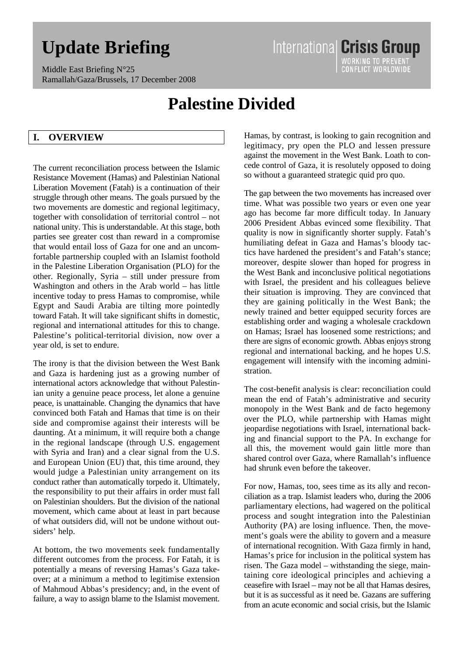# **Update Briefing**

Middle East Briefing N°25 Ramallah/Gaza/Brussels, 17 December 2008

## **Palestine Divided**

## **I. OVERVIEW**

The current reconciliation process between the Islamic Resistance Movement (Hamas) and Palestinian National Liberation Movement (Fatah) is a continuation of their struggle through other means. The goals pursued by the two movements are domestic and regional legitimacy, together with consolidation of territorial control – not national unity. This is understandable. At this stage, both parties see greater cost than reward in a compromise that would entail loss of Gaza for one and an uncomfortable partnership coupled with an Islamist foothold in the Palestine Liberation Organisation (PLO) for the other. Regionally, Syria – still under pressure from Washington and others in the Arab world – has little incentive today to press Hamas to compromise, while Egypt and Saudi Arabia are tilting more pointedly toward Fatah. It will take significant shifts in domestic, regional and international attitudes for this to change. Palestine's political-territorial division, now over a year old, is set to endure.

The irony is that the division between the West Bank and Gaza is hardening just as a growing number of international actors acknowledge that without Palestinian unity a genuine peace process, let alone a genuine peace, is unattainable. Changing the dynamics that have convinced both Fatah and Hamas that time is on their side and compromise against their interests will be daunting. At a minimum, it will require both a change in the regional landscape (through U.S. engagement with Syria and Iran) and a clear signal from the U.S. and European Union (EU) that, this time around, they would judge a Palestinian unity arrangement on its conduct rather than automatically torpedo it. Ultimately, the responsibility to put their affairs in order must fall on Palestinian shoulders. But the division of the national movement, which came about at least in part because of what outsiders did, will not be undone without outsiders' help.

At bottom, the two movements seek fundamentally different outcomes from the process. For Fatah, it is potentially a means of reversing Hamas's Gaza takeover; at a minimum a method to legitimise extension of Mahmoud Abbas's presidency; and, in the event of failure, a way to assign blame to the Islamist movement.

Hamas, by contrast, is looking to gain recognition and legitimacy, pry open the PLO and lessen pressure against the movement in the West Bank. Loath to concede control of Gaza, it is resolutely opposed to doing so without a guaranteed strategic quid pro quo.

International Crisis Group

WORKING TO PREVENT<br>CONFLICT WORLDWIDE

The gap between the two movements has increased over time. What was possible two years or even one year ago has become far more difficult today. In January 2006 President Abbas evinced some flexibility. That quality is now in significantly shorter supply. Fatah's humiliating defeat in Gaza and Hamas's bloody tactics have hardened the president's and Fatah's stance; moreover, despite slower than hoped for progress in the West Bank and inconclusive political negotiations with Israel, the president and his colleagues believe their situation is improving. They are convinced that they are gaining politically in the West Bank; the newly trained and better equipped security forces are establishing order and waging a wholesale crackdown on Hamas; Israel has loosened some restrictions; and there are signs of economic growth. Abbas enjoys strong regional and international backing, and he hopes U.S. engagement will intensify with the incoming administration.

The cost-benefit analysis is clear: reconciliation could mean the end of Fatah's administrative and security monopoly in the West Bank and de facto hegemony over the PLO, while partnership with Hamas might jeopardise negotiations with Israel, international backing and financial support to the PA. In exchange for all this, the movement would gain little more than shared control over Gaza, where Ramallah's influence had shrunk even before the takeover.

For now, Hamas, too, sees time as its ally and reconciliation as a trap. Islamist leaders who, during the 2006 parliamentary elections, had wagered on the political process and sought integration into the Palestinian Authority (PA) are losing influence. Then, the movement's goals were the ability to govern and a measure of international recognition. With Gaza firmly in hand, Hamas's price for inclusion in the political system has risen. The Gaza model – withstanding the siege, maintaining core ideological principles and achieving a ceasefire with Israel – may not be all that Hamas desires, but it is as successful as it need be. Gazans are suffering from an acute economic and social crisis, but the Islamic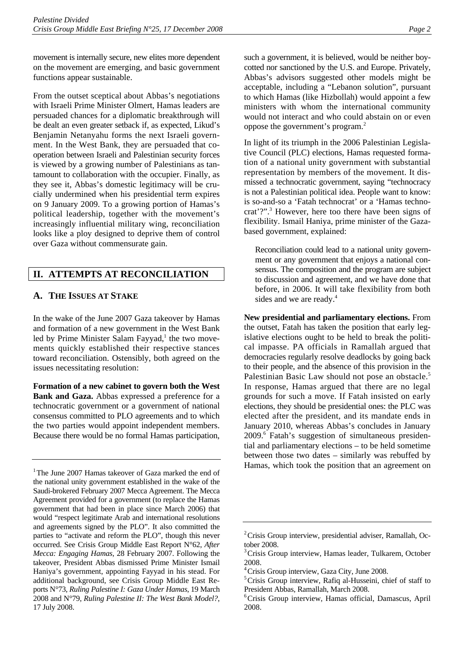movement is internally secure, new elites more dependent on the movement are emerging, and basic government functions appear sustainable.

From the outset sceptical about Abbas's negotiations with Israeli Prime Minister Olmert, Hamas leaders are persuaded chances for a diplomatic breakthrough will be dealt an even greater setback if, as expected, Likud's Benjamin Netanyahu forms the next Israeli government. In the West Bank, they are persuaded that cooperation between Israeli and Palestinian security forces is viewed by a growing number of Palestinians as tantamount to collaboration with the occupier. Finally, as they see it, Abbas's domestic legitimacy will be crucially undermined when his presidential term expires on 9 January 2009. To a growing portion of Hamas's political leadership, together with the movement's increasingly influential military wing, reconciliation looks like a ploy designed to deprive them of control over Gaza without commensurate gain.

## **II. ATTEMPTS AT RECONCILIATION**

## **A. THE ISSUES AT STAKE**

In the wake of the June 2007 Gaza takeover by Hamas and formation of a new government in the West Bank led by Prime Minister Salam Fayyad,<sup>1</sup> the two movements quickly established their respective stances toward reconciliation. Ostensibly, both agreed on the issues necessitating resolution:

**Formation of a new cabinet to govern both the West Bank and Gaza.** Abbas expressed a preference for a technocratic government or a government of national consensus committed to PLO agreements and to which the two parties would appoint independent members. Because there would be no formal Hamas participation,

such a government, it is believed, would be neither boycotted nor sanctioned by the U.S. and Europe. Privately, Abbas's advisors suggested other models might be acceptable, including a "Lebanon solution", pursuant to which Hamas (like Hizbollah) would appoint a few ministers with whom the international community would not interact and who could abstain on or even oppose the government's program.2

In light of its triumph in the 2006 Palestinian Legislative Council (PLC) elections, Hamas requested formation of a national unity government with substantial representation by members of the movement. It dismissed a technocratic government, saying "technocracy is not a Palestinian political idea. People want to know: is so-and-so a 'Fatah technocrat' or a 'Hamas technocrat'?".3 However, here too there have been signs of flexibility. Ismail Haniya, prime minister of the Gazabased government, explained:

Reconciliation could lead to a national unity government or any government that enjoys a national consensus. The composition and the program are subject to discussion and agreement, and we have done that before, in 2006. It will take flexibility from both sides and we are ready.<sup>4</sup>

**New presidential and parliamentary elections.** From the outset, Fatah has taken the position that early legislative elections ought to be held to break the political impasse. PA officials in Ramallah argued that democracies regularly resolve deadlocks by going back to their people, and the absence of this provision in the Palestinian Basic Law should not pose an obstacle.<sup>5</sup> In response, Hamas argued that there are no legal grounds for such a move. If Fatah insisted on early elections, they should be presidential ones: the PLC was elected after the president, and its mandate ends in January 2010, whereas Abbas's concludes in January 2009.<sup>6</sup> Fatah's suggestion of simultaneous presidential and parliamentary elections – to be held sometime between those two dates – similarly was rebuffed by Hamas, which took the position that an agreement on

<sup>&</sup>lt;sup>1</sup>The June 2007 Hamas takeover of Gaza marked the end of the national unity government established in the wake of the Saudi-brokered February 2007 Mecca Agreement. The Mecca Agreement provided for a government (to replace the Hamas government that had been in place since March 2006) that would "respect legitimate Arab and international resolutions and agreements signed by the PLO". It also committed the parties to "activate and reform the PLO", though this never occurred. See Crisis Group Middle East Report N°62, *After Mecca: Engaging Hamas*, 28 February 2007. Following the takeover, President Abbas dismissed Prime Minister Ismail Haniya's government, appointing Fayyad in his stead. For additional background, see Crisis Group Middle East Reports N°73, *Ruling Palestine I: Gaza Under Hamas*, 19 March 2008 and N°79, *Ruling Palestine II: The West Bank Model?*, 17 July 2008.

<sup>&</sup>lt;sup>2</sup> Crisis Group interview, presidential adviser, Ramallah, October 2008.

<sup>3</sup> Crisis Group interview, Hamas leader, Tulkarem, October 2008.

<sup>4</sup> Crisis Group interview, Gaza City, June 2008.

<sup>&</sup>lt;sup>5</sup> Crisis Group interview, Rafiq al-Husseini, chief of staff to President Abbas, Ramallah, March 2008.

<sup>6</sup> Crisis Group interview, Hamas official, Damascus, April 2008.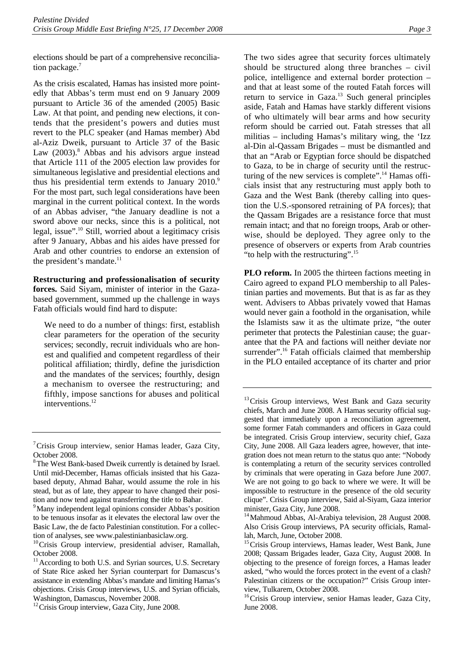elections should be part of a comprehensive reconciliation package.<sup>7</sup>

As the crisis escalated, Hamas has insisted more pointedly that Abbas's term must end on 9 January 2009 pursuant to Article 36 of the amended (2005) Basic Law. At that point, and pending new elections, it contends that the president's powers and duties must revert to the PLC speaker (and Hamas member) Abd al-Aziz Dweik, pursuant to Article 37 of the Basic Law (2003).<sup>8</sup> Abbas and his advisors argue instead that Article 111 of the 2005 election law provides for simultaneous legislative and presidential elections and thus his presidential term extends to January 2010.<sup>9</sup> For the most part, such legal considerations have been marginal in the current political context. In the words of an Abbas adviser, "the January deadline is not a sword above our necks, since this is a political, not legal, issue".10 Still, worried about a legitimacy crisis after 9 January, Abbas and his aides have pressed for Arab and other countries to endorse an extension of the president's mandate. $^{11}$ 

**Restructuring and professionalisation of security forces.** Said Siyam, minister of interior in the Gazabased government, summed up the challenge in ways Fatah officials would find hard to dispute:

We need to do a number of things: first, establish clear parameters for the operation of the security services; secondly, recruit individuals who are honest and qualified and competent regardless of their political affiliation; thirdly, define the jurisdiction and the mandates of the services; fourthly, design a mechanism to oversee the restructuring; and fifthly, impose sanctions for abuses and political interventions.<sup>12</sup>

The two sides agree that security forces ultimately should be structured along three branches – civil police, intelligence and external border protection – and that at least some of the routed Fatah forces will return to service in Gaza.<sup>13</sup> Such general principles aside, Fatah and Hamas have starkly different visions of who ultimately will bear arms and how security reform should be carried out. Fatah stresses that all militias – including Hamas's military wing, the 'Izz al-Din al-Qassam Brigades – must be dismantled and that an "Arab or Egyptian force should be dispatched to Gaza, to be in charge of security until the restruc-

**PLO reform.** In 2005 the thirteen factions meeting in Cairo agreed to expand PLO membership to all Palestinian parties and movements. But that is as far as they went. Advisers to Abbas privately vowed that Hamas would never gain a foothold in the organisation, while the Islamists saw it as the ultimate prize, "the outer perimeter that protects the Palestinian cause; the guarantee that the PA and factions will neither deviate nor surrender".<sup>16</sup> Fatah officials claimed that membership in the PLO entailed acceptance of its charter and prior

"to help with the restructuring".<sup>15</sup>

turing of the new services is complete".<sup>14</sup> Hamas officials insist that any restructuring must apply both to Gaza and the West Bank (thereby calling into question the U.S.-sponsored retraining of PA forces); that the Qassam Brigades are a resistance force that must remain intact; and that no foreign troops, Arab or otherwise, should be deployed. They agree only to the presence of observers or experts from Arab countries

<sup>&</sup>lt;sup>7</sup> Crisis Group interview, senior Hamas leader, Gaza City, October 2008.

<sup>&</sup>lt;sup>8</sup> The West Bank-based Dweik currently is detained by Israel. Until mid-December, Hamas officials insisted that his Gazabased deputy, Ahmad Bahar, would assume the role in his stead, but as of late, they appear to have changed their position and now tend against transferring the title to Bahar.

<sup>&</sup>lt;sup>9</sup> Many independent legal opinions consider Abbas's position to be tenuous insofar as it elevates the electoral law over the Basic Law, the de facto Palestinian constitution. For a collec-

tion of analyses, see www.palestinianbasiclaw.org.<br><sup>10</sup>Crisis Group interview, presidential adviser, Ramallah, October 2008.

<sup>&</sup>lt;sup>11</sup> According to both U.S. and Syrian sources, U.S. Secretary of State Rice asked her Syrian counterpart for Damascus's assistance in extending Abbas's mandate and limiting Hamas's objections. Crisis Group interviews, U.S. and Syrian officials, Washington, Damascus, November 2008.

<sup>&</sup>lt;sup>12</sup> Crisis Group interview, Gaza City, June 2008.

<sup>&</sup>lt;sup>13</sup> Crisis Group interviews, West Bank and Gaza security chiefs, March and June 2008. A Hamas security official suggested that immediately upon a reconciliation agreement, some former Fatah commanders and officers in Gaza could be integrated. Crisis Group interview, security chief, Gaza City, June 2008. All Gaza leaders agree, however, that integration does not mean return to the status quo ante: "Nobody is contemplating a return of the security services controlled by criminals that were operating in Gaza before June 2007. We are not going to go back to where we were. It will be impossible to restructure in the presence of the old security clique". Crisis Group interview, Said al-Siyam, Gaza interior minister, Gaza City, June 2008.

<sup>&</sup>lt;sup>14</sup>Mahmoud Abbas, Al-Arabiya television, 28 August 2008. Also Crisis Group interviews, PA security officials, Ramallah, March, June, October 2008.

<sup>&</sup>lt;sup>15</sup> Crisis Group interviews, Hamas leader, West Bank, June 2008; Qassam Brigades leader, Gaza City, August 2008. In objecting to the presence of foreign forces, a Hamas leader asked, "who would the forces protect in the event of a clash? Palestinian citizens or the occupation?" Crisis Group interview, Tulkarem, October 2008.

<sup>&</sup>lt;sup>16</sup>Crisis Group interview, senior Hamas leader, Gaza City, June 2008.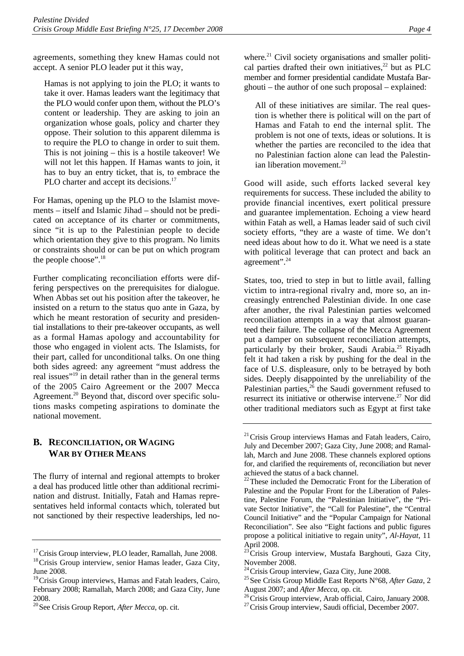agreements, something they knew Hamas could not accept. A senior PLO leader put it this way,

Hamas is not applying to join the PLO; it wants to take it over. Hamas leaders want the legitimacy that the PLO would confer upon them, without the PLO's content or leadership. They are asking to join an organization whose goals, policy and charter they oppose. Their solution to this apparent dilemma is to require the PLO to change in order to suit them. This is not joining – this is a hostile takeover! We will not let this happen. If Hamas wants to join, it has to buy an entry ticket, that is, to embrace the PLO charter and accept its decisions.<sup>17</sup>

For Hamas, opening up the PLO to the Islamist movements – itself and Islamic Jihad – should not be predicated on acceptance of its charter or commitments, since "it is up to the Palestinian people to decide which orientation they give to this program. No limits or constraints should or can be put on which program the people choose".<sup>18</sup>

Further complicating reconciliation efforts were differing perspectives on the prerequisites for dialogue. When Abbas set out his position after the takeover, he insisted on a return to the status quo ante in Gaza, by which he meant restoration of security and presidential installations to their pre-takeover occupants, as well as a formal Hamas apology and accountability for those who engaged in violent acts. The Islamists, for their part, called for unconditional talks. On one thing both sides agreed: any agreement "must address the real issues"<sup>19</sup> in detail rather than in the general terms of the 2005 Cairo Agreement or the 2007 Mecca Agreement.<sup>20</sup> Beyond that, discord over specific solutions masks competing aspirations to dominate the national movement.

## **B. RECONCILIATION, OR WAGING WAR BY OTHER MEANS**

The flurry of internal and regional attempts to broker a deal has produced little other than additional recrimination and distrust. Initially, Fatah and Hamas representatives held informal contacts which, tolerated but not sanctioned by their respective leaderships, led no-

where.<sup>21</sup> Civil society organisations and smaller political parties drafted their own initiatives, $22$  but as PLC member and former presidential candidate Mustafa Barghouti – the author of one such proposal – explained:

All of these initiatives are similar. The real question is whether there is political will on the part of Hamas and Fatah to end the internal split. The problem is not one of texts, ideas or solutions. It is whether the parties are reconciled to the idea that no Palestinian faction alone can lead the Palestinian liberation movement. $23$ 

Good will aside, such efforts lacked several key requirements for success. These included the ability to provide financial incentives, exert political pressure and guarantee implementation. Echoing a view heard within Fatah as well, a Hamas leader said of such civil society efforts, "they are a waste of time. We don't need ideas about how to do it. What we need is a state with political leverage that can protect and back an agreement".24

States, too, tried to step in but to little avail, falling victim to intra-regional rivalry and, more so, an increasingly entrenched Palestinian divide. In one case after another, the rival Palestinian parties welcomed reconciliation attempts in a way that almost guaranteed their failure. The collapse of the Mecca Agreement put a damper on subsequent reconciliation attempts, particularly by their broker, Saudi Arabia.<sup>25</sup> Riyadh felt it had taken a risk by pushing for the deal in the face of U.S. displeasure, only to be betrayed by both sides. Deeply disappointed by the unreliability of the Palestinian parties, $26$  the Saudi government refused to resurrect its initiative or otherwise intervene.<sup>27</sup> Nor did other traditional mediators such as Egypt at first take

<sup>&</sup>lt;sup>17</sup>Crisis Group interview, PLO leader, Ramallah, June 2008.<br><sup>18</sup>Crisis Group interview, senior Hamas leader, Gaza City,

June 2008.

<sup>&</sup>lt;sup>19</sup> Crisis Group interviews, Hamas and Fatah leaders, Cairo, February 2008; Ramallah, March 2008; and Gaza City, June 2008.

<sup>20</sup>See Crisis Group Report, *After Mecca*, op. cit.

<sup>&</sup>lt;sup>21</sup> Crisis Group interviews Hamas and Fatah leaders, Cairo, July and December 2007; Gaza City, June 2008; and Ramallah, March and June 2008. These channels explored options for, and clarified the requirements of, reconciliation but never achieved the status of a back channel.

 $22$ These included the Democratic Front for the Liberation of Palestine and the Popular Front for the Liberation of Palestine, Palestine Forum, the "Palestinian Initiative", the "Private Sector Initiative", the "Call for Palestine", the "Central Council Initiative" and the "Popular Campaign for National Reconciliation". See also "Eight factions and public figures propose a political initiative to regain unity", *Al-Hayat*, 11 April 2008.

<sup>23</sup>Crisis Group interview, Mustafa Barghouti, Gaza City, November 2008.<br><sup>24</sup> Crisis Group interview, Gaza City, June 2008.

<sup>&</sup>lt;sup>25</sup> See Crisis Group Middle East Reports N°68, After Gaza, 2 August 2007; and *After Mecca*, op. cit.<br><sup>26</sup>Crisis Group interview, Arab official, Cairo, January 2008.<br><sup>27</sup>Crisis Group interview, Saudi official, December 2007.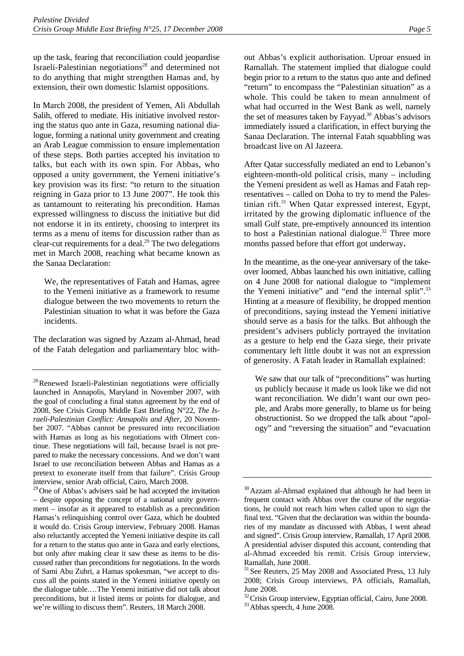up the task, fearing that reconciliation could jeopardise Israeli-Palestinian negotiations<sup>28</sup> and determined not to do anything that might strengthen Hamas and, by extension, their own domestic Islamist oppositions.

In March 2008, the president of Yemen, Ali Abdullah Salih, offered to mediate. His initiative involved restoring the status quo ante in Gaza, resuming national dialogue, forming a national unity government and creating an Arab League commission to ensure implementation of these steps. Both parties accepted his invitation to talks, but each with its own spin. For Abbas, who opposed a unity government, the Yemeni initiative's key provision was its first: "to return to the situation reigning in Gaza prior to 13 June 2007". He took this as tantamount to reiterating his precondition. Hamas expressed willingness to discuss the initiative but did not endorse it in its entirety, choosing to interpret its terms as a menu of items for discussion rather than as clear-cut requirements for a deal.<sup>29</sup> The two delegations met in March 2008, reaching what became known as the Sanaa Declaration:

We, the representatives of Fatah and Hamas, agree to the Yemeni initiative as a framework to resume dialogue between the two movements to return the Palestinian situation to what it was before the Gaza incidents.

The declaration was signed by Azzam al-Ahmad, head of the Fatah delegation and parliamentary bloc with-

<sup>29</sup> One of Abbas's advisers said he had accepted the invitation – despite opposing the concept of a national unity government – insofar as it appeared to establish as a precondition Hamas's relinquishing control over Gaza, which he doubted it would do. Crisis Group interview, February 2008. Hamas also reluctantly accepted the Yemeni initiative despite its call for a return to the status quo ante in Gaza and early elections, but only after making clear it saw these as items to be discussed rather than preconditions for negotiations. In the words of Sami Abu Zuhri, a Hamas spokesman, "we accept to discuss all the points stated in the Yemeni initiative openly on the dialogue table.…The Yemeni initiative did not talk about preconditions, but it listed items or points for dialogue, and we're willing to discuss them". Reuters, 18 March 2008.

out Abbas's explicit authorisation. Uproar ensued in Ramallah. The statement implied that dialogue could begin prior to a return to the status quo ante and defined "return" to encompass the "Palestinian situation" as a whole. This could be taken to mean annulment of what had occurred in the West Bank as well, namely the set of measures taken by Fayyad.<sup>30</sup> Abbas's advisors immediately issued a clarification, in effect burying the Sanaa Declaration. The internal Fatah squabbling was broadcast live on Al Jazeera.

After Qatar successfully mediated an end to Lebanon's eighteen-month-old political crisis, many – including the Yemeni president as well as Hamas and Fatah representatives – called on Doha to try to mend the Palestinian rift. $31$  When Qatar expressed interest, Egypt, irritated by the growing diplomatic influence of the small Gulf state, pre-emptively announced its intention to host a Palestinian national dialogue.<sup>32</sup> Three more months passed before that effort got underway**.**

In the meantime, as the one-year anniversary of the takeover loomed, Abbas launched his own initiative, calling on 4 June 2008 for national dialogue to "implement the Yemeni initiative" and "end the internal split".<sup>33</sup> Hinting at a measure of flexibility, he dropped mention of preconditions, saying instead the Yemeni initiative should serve as a basis for the talks. But although the president's advisers publicly portrayed the invitation as a gesture to help end the Gaza siege, their private commentary left little doubt it was not an expression of generosity. A Fatah leader in Ramallah explained:

We saw that our talk of "preconditions" was hurting us publicly because it made us look like we did not want reconciliation. We didn't want our own people, and Arabs more generally, to blame us for being obstructionist. So we dropped the talk about "apology" and "reversing the situation" and "evacuation

<sup>&</sup>lt;sup>28</sup>Renewed Israeli-Palestinian negotiations were officially launched in Annapolis, Maryland in November 2007, with the goal of concluding a final status agreement by the end of 2008. See Crisis Group Middle East Briefing N°22, *The Israeli-Palestinian Conflict: Annapolis and After*, 20 November 2007. "Abbas cannot be pressured into reconciliation with Hamas as long as his negotiations with Olmert continue. These negotiations will fail, because Israel is not prepared to make the necessary concessions. And we don't want Israel to use reconciliation between Abbas and Hamas as a pretext to exonerate itself from that failure". Crisis Group interview, senior Arab official, Cairo, March 2008.

<sup>&</sup>lt;sup>30</sup>Azzam al-Ahmad explained that although he had been in frequent contact with Abbas over the course of the negotiations, he could not reach him when called upon to sign the final text. "Given that the declaration was within the boundaries of my mandate as discussed with Abbas, I went ahead and signed". Crisis Group interview, Ramallah, 17 April 2008. A presidential adviser disputed this account, contending that al-Ahmad exceeded his remit. Crisis Group interview, Ramallah, June 2008.

<sup>&</sup>lt;sup>31</sup> See Reuters, 25 May 2008 and Associated Press, 13 July 2008; Crisis Group interviews, PA officials, Ramallah, June 2008.

 $32$  Crisis Group interview, Egyptian official, Cairo, June 2008.  $33$  Abbas speech, 4 June 2008.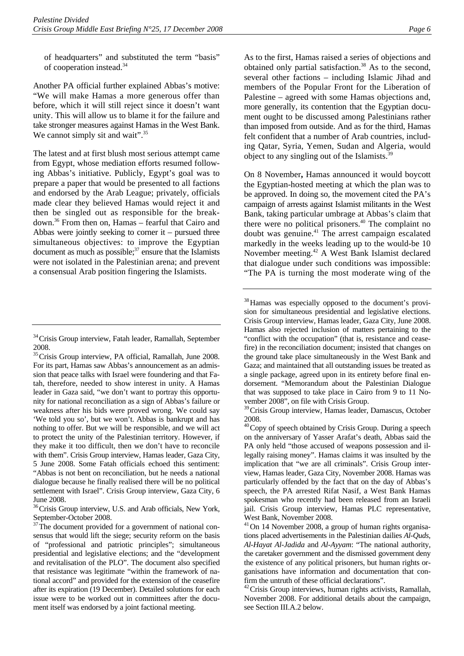of headquarters" and substituted the term "basis" of cooperation instead.34

Another PA official further explained Abbas's motive: "We will make Hamas a more generous offer than before, which it will still reject since it doesn't want unity. This will allow us to blame it for the failure and take stronger measures against Hamas in the West Bank. We cannot simply sit and wait".<sup>35</sup>

The latest and at first blush most serious attempt came from Egypt, whose mediation efforts resumed following Abbas's initiative. Publicly, Egypt's goal was to prepare a paper that would be presented to all factions and endorsed by the Arab League; privately, officials made clear they believed Hamas would reject it and then be singled out as responsible for the breakdown.36 From then on, Hamas – fearful that Cairo and Abbas were jointly seeking to corner it – pursued three simultaneous objectives: to improve the Egyptian document as much as possible; $3^7$  ensure that the Islamists were not isolated in the Palestinian arena; and prevent a consensual Arab position fingering the Islamists.

As to the first, Hamas raised a series of objections and obtained only partial satisfaction. $38$  As to the second, several other factions – including Islamic Jihad and members of the Popular Front for the Liberation of Palestine – agreed with some Hamas objections and, more generally, its contention that the Egyptian document ought to be discussed among Palestinians rather than imposed from outside. And as for the third, Hamas felt confident that a number of Arab countries, including Qatar, Syria, Yemen, Sudan and Algeria, would object to any singling out of the Islamists.<sup>39</sup>

On 8 November**,** Hamas announced it would boycott the Egyptian-hosted meeting at which the plan was to be approved. In doing so, the movement cited the PA's campaign of arrests against Islamist militants in the West Bank, taking particular umbrage at Abbas's claim that there were no political prisoners.<sup>40</sup> The complaint no doubt was genuine.<sup>41</sup> The arrest campaign escalated markedly in the weeks leading up to the would-be 10 November meeting.42 A West Bank Islamist declared that dialogue under such conditions was impossible: "The PA is turning the most moderate wing of the

<sup>&</sup>lt;sup>34</sup> Crisis Group interview, Fatah leader, Ramallah, September 2008.

<sup>&</sup>lt;sup>35</sup>Crisis Group interview, PA official, Ramallah, June 2008. For its part, Hamas saw Abbas's announcement as an admission that peace talks with Israel were foundering and that Fatah, therefore, needed to show interest in unity. A Hamas leader in Gaza said, "we don't want to portray this opportunity for national reconciliation as a sign of Abbas's failure or weakness after his bids were proved wrong. We could say 'We told you so', but we won't. Abbas is bankrupt and has nothing to offer. But we will be responsible, and we will act to protect the unity of the Palestinian territory. However, if they make it too difficult, then we don't have to reconcile with them". Crisis Group interview, Hamas leader, Gaza City, 5 June 2008. Some Fatah officials echoed this sentiment: "Abbas is not bent on reconciliation, but he needs a national dialogue because he finally realised there will be no political settlement with Israel". Crisis Group interview, Gaza City, 6 June 2008.

<sup>&</sup>lt;sup>36</sup> Crisis Group interview, U.S. and Arab officials, New York, September-October 2008.

 $37$ The document provided for a government of national consensus that would lift the siege; security reform on the basis of "professional and patriotic principles"; simultaneous presidential and legislative elections; and the "development and revitalisation of the PLO". The document also specified that resistance was legitimate "within the framework of national accord" and provided for the extension of the ceasefire after its expiration (19 December). Detailed solutions for each issue were to be worked out in committees after the document itself was endorsed by a joint factional meeting.

<sup>&</sup>lt;sup>38</sup>Hamas was especially opposed to the document's provision for simultaneous presidential and legislative elections. Crisis Group interview, Hamas leader, Gaza City, June 2008. Hamas also rejected inclusion of matters pertaining to the "conflict with the occupation" (that is, resistance and ceasefire) in the reconciliation document; insisted that changes on the ground take place simultaneously in the West Bank and Gaza; and maintained that all outstanding issues be treated as a single package, agreed upon in its entirety before final endorsement. "Memorandum about the Palestinian Dialogue that was supposed to take place in Cairo from 9 to 11 November 2008", on file with Crisis Group.

<sup>&</sup>lt;sup>39</sup> Crisis Group interview, Hamas leader, Damascus, October 2008.

 $40$  Copy of speech obtained by Crisis Group. During a speech on the anniversary of Yasser Arafat's death, Abbas said the PA only held "those accused of weapons possession and illegally raising money". Hamas claims it was insulted by the implication that "we are all criminals". Crisis Group interview, Hamas leader, Gaza City, November 2008. Hamas was particularly offended by the fact that on the day of Abbas's speech, the PA arrested Rifat Nasif, a West Bank Hamas spokesman who recently had been released from an Israeli jail. Crisis Group interview, Hamas PLC representative, West Bank, November 2008.

<sup>41</sup>On 14 November 2008, a group of human rights organisations placed advertisements in the Palestinian dailies *Al-Quds*, *Al-Hayat Al-Jadida* and *Al-Ayyam*: "The national authority, the caretaker government and the dismissed government deny the existence of any political prisoners, but human rights organisations have information and documentation that confirm the untruth of these official declarations".

<sup>&</sup>lt;sup>42</sup> Crisis Group interviews, human rights activists, Ramallah, November 2008. For additional details about the campaign, see Section III.A.2 below.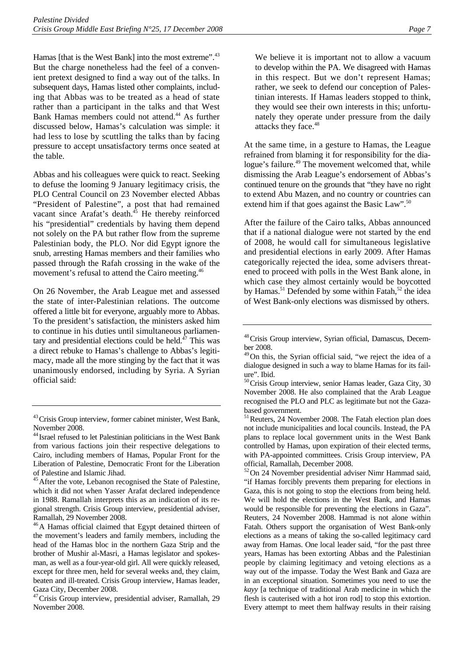Hamas [that is the West Bank] into the most extreme".<sup>43</sup> But the charge nonetheless had the feel of a convenient pretext designed to find a way out of the talks. In subsequent days, Hamas listed other complaints, including that Abbas was to be treated as a head of state rather than a participant in the talks and that West Bank Hamas members could not attend.44 As further discussed below, Hamas's calculation was simple: it had less to lose by scuttling the talks than by facing pressure to accept unsatisfactory terms once seated at the table.

Abbas and his colleagues were quick to react. Seeking to defuse the looming 9 January legitimacy crisis, the PLO Central Council on 23 November elected Abbas "President of Palestine", a post that had remained vacant since Arafat's death. $45$  He thereby reinforced his "presidential" credentials by having them depend not solely on the PA but rather flow from the supreme Palestinian body, the PLO. Nor did Egypt ignore the snub, arresting Hamas members and their families who passed through the Rafah crossing in the wake of the movement's refusal to attend the Cairo meeting.<sup>46</sup>

On 26 November, the Arab League met and assessed the state of inter-Palestinian relations. The outcome offered a little bit for everyone, arguably more to Abbas. To the president's satisfaction, the ministers asked him to continue in his duties until simultaneous parliamentary and presidential elections could be held. $^{47}$  This was a direct rebuke to Hamas's challenge to Abbas's legitimacy, made all the more stinging by the fact that it was unanimously endorsed, including by Syria. A Syrian official said:

We believe it is important not to allow a vacuum to develop within the PA. We disagreed with Hamas in this respect. But we don't represent Hamas; rather, we seek to defend our conception of Palestinian interests. If Hamas leaders stopped to think, they would see their own interests in this; unfortunately they operate under pressure from the daily attacks they face.<sup>48</sup>

At the same time, in a gesture to Hamas, the League refrained from blaming it for responsibility for the dialogue's failure.<sup>49</sup> The movement welcomed that, while dismissing the Arab League's endorsement of Abbas's continued tenure on the grounds that "they have no right to extend Abu Mazen, and no country or countries can extend him if that goes against the Basic Law".<sup>50</sup>

After the failure of the Cairo talks, Abbas announced that if a national dialogue were not started by the end of 2008, he would call for simultaneous legislative and presidential elections in early 2009. After Hamas categorically rejected the idea, some advisers threatened to proceed with polls in the West Bank alone, in which case they almost certainly would be boycotted by Hamas.<sup>51</sup> Defended by some within Fatah,<sup>52</sup> the idea of West Bank-only elections was dismissed by others.

52On 24 November presidential adviser Nimr Hammad said, "if Hamas forcibly prevents them preparing for elections in Gaza, this is not going to stop the elections from being held. We will hold the elections in the West Bank, and Hamas would be responsible for preventing the elections in Gaza". Reuters, 24 November 2008. Hammad is not alone within Fatah. Others support the organisation of West Bank-only elections as a means of taking the so-called legitimacy card away from Hamas. One local leader said, "for the past three years, Hamas has been extorting Abbas and the Palestinian people by claiming legitimacy and vetoing elections as a way out of the impasse. Today the West Bank and Gaza are in an exceptional situation. Sometimes you need to use the *kayy* [a technique of traditional Arab medicine in which the flesh is cauterised with a hot iron rod] to stop this extortion. Every attempt to meet them halfway results in their raising

<sup>&</sup>lt;sup>43</sup> Crisis Group interview, former cabinet minister, West Bank, November 2008.

<sup>44</sup> Israel refused to let Palestinian politicians in the West Bank from various factions join their respective delegations to Cairo, including members of Hamas, Popular Front for the Liberation of Palestine, Democratic Front for the Liberation of Palestine and Islamic Jihad.

<sup>&</sup>lt;sup>45</sup> After the vote, Lebanon recognised the State of Palestine, which it did not when Yasser Arafat declared independence in 1988. Ramallah interprets this as an indication of its regional strength. Crisis Group interview, presidential adviser, Ramallah, 29 November 2008.

<sup>46</sup>A Hamas official claimed that Egypt detained thirteen of the movement's leaders and family members, including the head of the Hamas bloc in the northern Gaza Strip and the brother of Mushir al-Masri, a Hamas legislator and spokesman, as well as a four-year-old girl. All were quickly released, except for three men, held for several weeks and, they claim, beaten and ill-treated. Crisis Group interview, Hamas leader, Gaza City, December 2008.

<sup>47</sup>Crisis Group interview, presidential adviser, Ramallah, 29 November 2008.

<sup>48</sup>Crisis Group interview, Syrian official, Damascus, December 2008.

<sup>&</sup>lt;sup>49</sup>On this, the Syrian official said, "we reject the idea of a dialogue designed in such a way to blame Hamas for its failure". Ibid.

 $50$ Crisis Group interview, senior Hamas leader, Gaza City, 30 November 2008. He also complained that the Arab League recognised the PLO and PLC as legitimate but not the Gazabased government.

<sup>&</sup>lt;sup>51</sup> Reuters, 24 November 2008. The Fatah election plan does not include municipalities and local councils. Instead, the PA plans to replace local government units in the West Bank controlled by Hamas, upon expiration of their elected terms, with PA-appointed committees. Crisis Group interview, PA official, Ramallah, December 2008.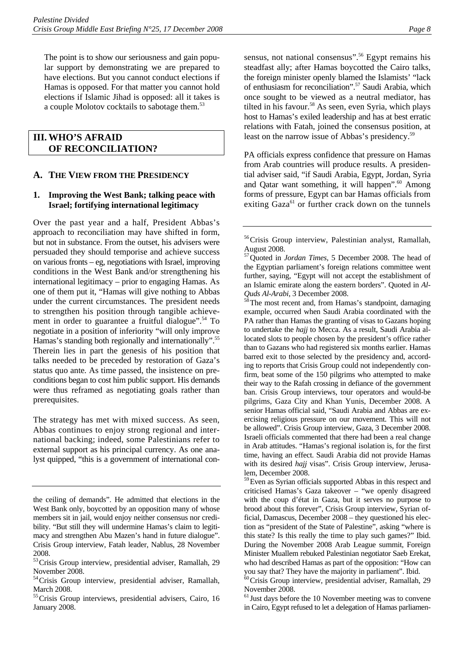The point is to show our seriousness and gain popular support by demonstrating we are prepared to have elections. But you cannot conduct elections if Hamas is opposed. For that matter you cannot hold elections if Islamic Jihad is opposed: all it takes is a couple Molotov cocktails to sabotage them.<sup>53</sup>

#### **III. WHO'S AFRAID OF RECONCILIATION?**

#### **A. THE VIEW FROM THE PRESIDENCY**

#### **1. Improving the West Bank; talking peace with Israel; fortifying international legitimacy**

Over the past year and a half, President Abbas's approach to reconciliation may have shifted in form, but not in substance. From the outset, his advisers were persuaded they should temporise and achieve success on various fronts – eg, negotiations with Israel, improving conditions in the West Bank and/or strengthening his international legitimacy – prior to engaging Hamas. As one of them put it, "Hamas will give nothing to Abbas under the current circumstances. The president needs to strengthen his position through tangible achievement in order to guarantee a fruitful dialogue".<sup>54</sup> To negotiate in a position of inferiority "will only improve Hamas's standing both regionally and internationally".<sup>55</sup> Therein lies in part the genesis of his position that talks needed to be preceded by restoration of Gaza's status quo ante*.* As time passed, the insistence on preconditions began to cost him public support. His demands were thus reframed as negotiating goals rather than prerequisites.

The strategy has met with mixed success. As seen, Abbas continues to enjoy strong regional and international backing; indeed, some Palestinians refer to external support as his principal currency. As one analyst quipped, "this is a government of international consensus, not national consensus".<sup>56</sup> Egypt remains his steadfast ally; after Hamas boycotted the Cairo talks, the foreign minister openly blamed the Islamists' "lack of enthusiasm for reconciliation".57 Saudi Arabia, which once sought to be viewed as a neutral mediator, has tilted in his favour.<sup>58</sup> As seen, even Syria, which plays host to Hamas's exiled leadership and has at best erratic relations with Fatah, joined the consensus position, at least on the narrow issue of Abbas's presidency.<sup>59</sup>

PA officials express confidence that pressure on Hamas from Arab countries will produce results. A presidential adviser said, "if Saudi Arabia, Egypt, Jordan, Syria and Qatar want something, it will happen".<sup>60</sup> Among forms of pressure, Egypt can bar Hamas officials from exiting  $Gaza^{61}$  or further crack down on the tunnels

<sup>58</sup>The most recent and, from Hamas's standpoint, damaging example, occurred when Saudi Arabia coordinated with the PA rather than Hamas the granting of visas to Gazans hoping to undertake the *hajj* to Mecca. As a result, Saudi Arabia allocated slots to people chosen by the president's office rather than to Gazans who had registered six months earlier. Hamas barred exit to those selected by the presidency and, according to reports that Crisis Group could not independently confirm, beat some of the 150 pilgrims who attempted to make their way to the Rafah crossing in defiance of the government ban. Crisis Group interviews, tour operators and would-be pilgrims, Gaza City and Khan Yunis, December 2008. A senior Hamas official said, "Saudi Arabia and Abbas are exercising religious pressure on our movement. This will not be allowed". Crisis Group interview, Gaza, 3 December 2008. Israeli officials commented that there had been a real change in Arab attitudes. "Hamas's regional isolation is, for the first time, having an effect. Saudi Arabia did not provide Hamas with its desired *hajj* visas". Crisis Group interview, Jerusalem, December 2008.

<sup>59</sup> Even as Syrian officials supported Abbas in this respect and criticised Hamas's Gaza takeover – "we openly disagreed with the coup d'état in Gaza, but it serves no purpose to brood about this forever", Crisis Group interview, Syrian official, Damascus, December 2008 – they questioned his election as "president of the State of Palestine", asking "where is this state? Is this really the time to play such games?" Ibid. During the November 2008 Arab League summit, Foreign Minister Muallem rebuked Palestinian negotiator Saeb Erekat, who had described Hamas as part of the opposition: "How can you say that? They have the majority in parliament". Ibid.

 $60$ Crisis Group interview, presidential adviser, Ramallah, 29 November 2008.

<sup>61</sup> Just days before the 10 November meeting was to convene in Cairo, Egypt refused to let a delegation of Hamas parliamen-

the ceiling of demands". He admitted that elections in the West Bank only, boycotted by an opposition many of whose members sit in jail, would enjoy neither consensus nor credibility. "But still they will undermine Hamas's claim to legitimacy and strengthen Abu Mazen's hand in future dialogue". Crisis Group interview, Fatah leader, Nablus, 28 November 2008.

<sup>53</sup>Crisis Group interview, presidential adviser, Ramallah, 29 November 2008.

<sup>54</sup>Crisis Group interview, presidential adviser, Ramallah, March 2008.

<sup>55</sup> Crisis Group interviews, presidential advisers, Cairo, 16 January 2008.

<sup>56</sup>Crisis Group interview, Palestinian analyst, Ramallah, August 2008.

<sup>57</sup>Quoted in *Jordan Times*, 5 December 2008. The head of the Egyptian parliament's foreign relations committee went further, saying, "Egypt will not accept the establishment of an Islamic emirate along the eastern borders". Quoted in *Al-*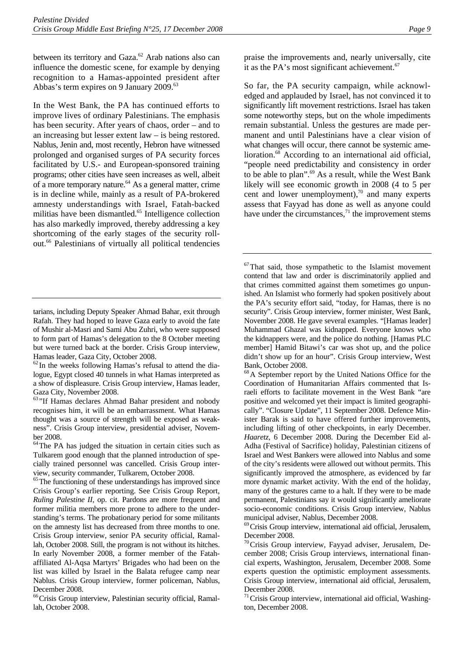between its territory and Gaza.<sup>62</sup> Arab nations also can influence the domestic scene, for example by denying recognition to a Hamas-appointed president after Abbas's term expires on 9 January 2009.<sup>63</sup>

In the West Bank, the PA has continued efforts to improve lives of ordinary Palestinians. The emphasis has been security. After years of chaos, order – and to an increasing but lesser extent law – is being restored. Nablus, Jenin and, most recently, Hebron have witnessed prolonged and organised surges of PA security forces facilitated by U.S.- and European-sponsored training programs; other cities have seen increases as well, albeit of a more temporary nature.<sup>64</sup> As a general matter, crime is in decline while, mainly as a result of PA-brokered amnesty understandings with Israel, Fatah-backed militias have been dismantled.<sup>65</sup> Intelligence collection has also markedly improved, thereby addressing a key shortcoming of the early stages of the security rollout.66 Palestinians of virtually all political tendencies

 $62$  In the weeks following Hamas's refusal to attend the dialogue, Egypt closed 40 tunnels in what Hamas interpreted as a show of displeasure. Crisis Group interview, Hamas leader, Gaza City, November 2008.

<sup>66</sup> Crisis Group interview, Palestinian security official, Ramallah, October 2008.

praise the improvements and, nearly universally, cite it as the PA's most significant achievement. $67$ 

So far, the PA security campaign, while acknowledged and applauded by Israel, has not convinced it to significantly lift movement restrictions. Israel has taken some noteworthy steps, but on the whole impediments remain substantial. Unless the gestures are made permanent and until Palestinians have a clear vision of what changes will occur, there cannot be systemic amelioration.<sup>68</sup> According to an international aid official, "people need predictability and consistency in order to be able to plan".<sup>69</sup> As a result, while the West Bank likely will see economic growth in 2008 (4 to 5 per cent and lower unemployment), $\frac{70}{2}$  and many experts assess that Fayyad has done as well as anyone could have under the circumstances, $^{71}$  the improvement stems

tarians, including Deputy Speaker Ahmad Bahar, exit through Rafah. They had hoped to leave Gaza early to avoid the fate of Mushir al-Masri and Sami Abu Zuhri, who were supposed to form part of Hamas's delegation to the 8 October meeting but were turned back at the border. Crisis Group interview, Hamas leader, Gaza City, October 2008.

<sup>&</sup>lt;sup>63</sup>"If Hamas declares Ahmad Bahar president and nobody recognises him, it will be an embarrassment. What Hamas thought was a source of strength will be exposed as weakness". Crisis Group interview, presidential adviser, November 2008.

<sup>64</sup>The PA has judged the situation in certain cities such as Tulkarem good enough that the planned introduction of specially trained personnel was cancelled. Crisis Group interview, security commander, Tulkarem, October 2008.

<sup>&</sup>lt;sup>65</sup>The functioning of these understandings has improved since Crisis Group's earlier reporting. See Crisis Group Report, *Ruling Palestine II*, op. cit. Pardons are more frequent and former militia members more prone to adhere to the understanding's terms. The probationary period for some militants on the amnesty list has decreased from three months to one. Crisis Group interview, senior PA security official, Ramallah, October 2008. Still, the program is not without its hitches. In early November 2008, a former member of the Fatahaffiliated Al-Aqsa Martyrs' Brigades who had been on the list was killed by Israel in the Balata refugee camp near Nablus. Crisis Group interview, former policeman, Nablus, December 2008.

 $67$ That said, those sympathetic to the Islamist movement contend that law and order is discriminatorily applied and that crimes committed against them sometimes go unpunished. An Islamist who formerly had spoken positively about the PA's security effort said, "today, for Hamas, there is no security". Crisis Group interview, former minister, West Bank, November 2008. He gave several examples. "[Hamas leader] Muhammad Ghazal was kidnapped. Everyone knows who the kidnappers were, and the police do nothing. [Hamas PLC member] Hamid Bitawi's car was shot up, and the police didn't show up for an hour". Crisis Group interview, West Bank, October 2008.

<sup>68</sup>A September report by the United Nations Office for the Coordination of Humanitarian Affairs commented that Israeli efforts to facilitate movement in the West Bank "are positive and welcomed yet their impact is limited geographically". "Closure Update", 11 September 2008. Defence Minister Barak is said to have offered further improvements, including lifting of other checkpoints, in early December. *Haaretz*, 6 December 2008. During the December Eid al-Adha (Festival of Sacrifice) holiday, Palestinian citizens of Israel and West Bankers were allowed into Nablus and some of the city's residents were allowed out without permits. This significantly improved the atmosphere, as evidenced by far more dynamic market activity. With the end of the holiday, many of the gestures came to a halt. If they were to be made permanent, Palestinians say it would significantly ameliorate socio-economic conditions. Crisis Group interview, Nablus municipal adviser, Nablus, December 2008.

<sup>&</sup>lt;sup>69</sup> Crisis Group interview, international aid official, Jerusalem, December 2008.

 $70$ Crisis Group interview, Fayyad adviser, Jerusalem, December 2008; Crisis Group interviews, international financial experts, Washington, Jerusalem, December 2008. Some experts question the optimistic employment assessments. Crisis Group interview, international aid official, Jerusalem, December 2008.

 $71$  Crisis Group interview, international aid official, Washington, December 2008.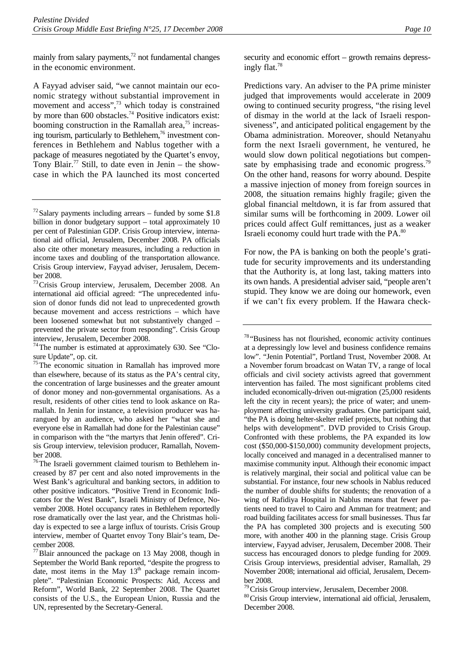mainly from salary payments, $7<sup>2</sup>$  not fundamental changes in the economic environment.

A Fayyad adviser said, "we cannot maintain our economic strategy without substantial improvement in movement and access",<sup>73</sup> which today is constrained by more than 600 obstacles.<sup>74</sup> Positive indicators exist: booming construction in the Ramallah area, $75$  increasing tourism, particularly to Bethlehem,<sup>76</sup> investment conferences in Bethlehem and Nablus together with a package of measures negotiated by the Quartet's envoy, Tony Blair.<sup>77</sup> Still, to date even in Jenin – the showcase in which the PA launched its most concerted

 $74$ The number is estimated at approximately 630. See "Closure Update", op. cit.

76The Israeli government claimed tourism to Bethlehem increased by 87 per cent and also noted improvements in the West Bank's agricultural and banking sectors, in addition to other positive indicators. "Positive Trend in Economic Indicators for the West Bank", Israeli Ministry of Defence, November 2008. Hotel occupancy rates in Bethlehem reportedly rose dramatically over the last year, and the Christmas holiday is expected to see a large influx of tourists. Crisis Group interview, member of Quartet envoy Tony Blair's team, December 2008.

 $^{77}$ Blair announced the package on 13 May 2008, though in September the World Bank reported, "despite the progress to date, most items in the May  $13<sup>th</sup>$  package remain incomplete". "Palestinian Economic Prospects: Aid, Access and Reform", World Bank, 22 September 2008. The Quartet consists of the U.S., the European Union, Russia and the UN, represented by the Secretary-General.

security and economic effort – growth remains depressingly flat.78

Predictions vary. An adviser to the PA prime minister judged that improvements would accelerate in 2009 owing to continued security progress, "the rising level of dismay in the world at the lack of Israeli responsiveness", and anticipated political engagement by the Obama administration. Moreover, should Netanyahu form the next Israeli government, he ventured, he would slow down political negotiations but compensate by emphasising trade and economic progress.<sup>79</sup> On the other hand, reasons for worry abound. Despite a massive injection of money from foreign sources in 2008, the situation remains highly fragile; given the global financial meltdown, it is far from assured that similar sums will be forthcoming in 2009. Lower oil prices could affect Gulf remittances, just as a weaker Israeli economy could hurt trade with the PA.<sup>80</sup>

For now, the PA is banking on both the people's gratitude for security improvements and its understanding that the Authority is, at long last, taking matters into its own hands. A presidential adviser said, "people aren't stupid. They know we are doing our homework, even if we can't fix every problem. If the Hawara check-

<sup>78</sup> "Business has not flourished, economic activity continues at a depressingly low level and business confidence remains low". "Jenin Potential", Portland Trust, November 2008. At a November forum broadcast on Watan TV, a range of local officials and civil society activists agreed that government intervention has failed. The most significant problems cited included economically-driven out-migration (25,000 residents left the city in recent years); the price of water; and unemployment affecting university graduates. One participant said, "the PA is doing helter-skelter relief projects, but nothing that helps with development". DVD provided to Crisis Group. Confronted with these problems, the PA expanded its low cost (\$50,000-\$150,000) community development projects, locally conceived and managed in a decentralised manner to maximise community input. Although their economic impact is relatively marginal, their social and political value can be substantial. For instance, four new schools in Nablus reduced the number of double shifts for students; the renovation of a wing of Rafidiya Hospital in Nablus means that fewer patients need to travel to Cairo and Amman for treatment; and road building facilitates access for small businesses. Thus far the PA has completed 300 projects and is executing 500 more, with another 400 in the planning stage. Crisis Group interview, Fayyad adviser, Jerusalem, December 2008. Their success has encouraged donors to pledge funding for 2009. Crisis Group interviews, presidential adviser, Ramallah, 29 November 2008; international aid official, Jerusalem, December 2008.

 $72$  Salary payments including arrears – funded by some \$1.8 billion in donor budgetary support – total approximately 10 per cent of Palestinian GDP. Crisis Group interview, international aid official, Jerusalem, December 2008. PA officials also cite other monetary measures, including a reduction in income taxes and doubling of the transportation allowance. Crisis Group interview, Fayyad adviser, Jerusalem, December 2008.

<sup>73</sup>Crisis Group interview, Jerusalem, December 2008. An international aid official agreed: "The unprecedented infusion of donor funds did not lead to unprecedented growth because movement and access restrictions – which have been loosened somewhat but not substantively changed – prevented the private sector from responding". Crisis Group interview, Jerusalem, December 2008.

<sup>&</sup>lt;sup>75</sup>The economic situation in Ramallah has improved more than elsewhere, because of its status as the PA's central city, the concentration of large businesses and the greater amount of donor money and non-governmental organisations. As a result, residents of other cities tend to look askance on Ramallah. In Jenin for instance, a television producer was harangued by an audience, who asked her "what she and everyone else in Ramallah had done for the Palestinian cause" in comparison with the "the martyrs that Jenin offered". Crisis Group interview, television producer, Ramallah, November 2008.

 $79$ Crisis Group interview, Jerusalem, December 2008.<br><sup>80</sup>Crisis Group interview, international aid official, Jerusalem, December 2008.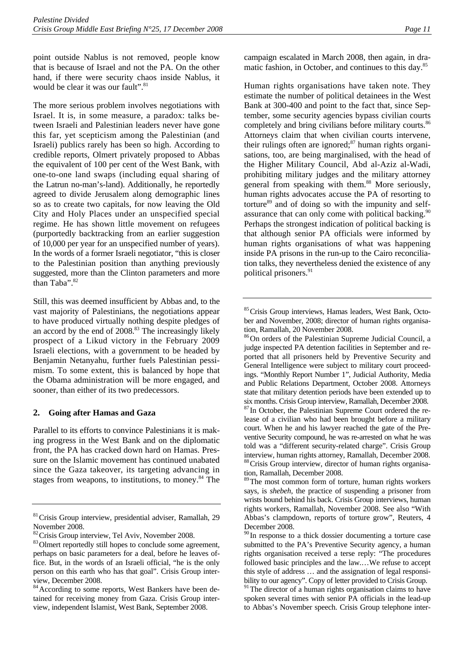point outside Nablus is not removed, people know that is because of Israel and not the PA. On the other hand, if there were security chaos inside Nablus, it would be clear it was our fault".<sup>81</sup>

The more serious problem involves negotiations with Israel. It is, in some measure, a paradox: talks between Israeli and Palestinian leaders never have gone this far, yet scepticism among the Palestinian (and Israeli) publics rarely has been so high. According to credible reports, Olmert privately proposed to Abbas the equivalent of 100 per cent of the West Bank, with one-to-one land swaps (including equal sharing of the Latrun no-man's-land). Additionally, he reportedly agreed to divide Jerusalem along demographic lines so as to create two capitals, for now leaving the Old City and Holy Places under an unspecified special regime. He has shown little movement on refugees (purportedly backtracking from an earlier suggestion of 10,000 per year for an unspecified number of years). In the words of a former Israeli negotiator, "this is closer to the Palestinian position than anything previously suggested, more than the Clinton parameters and more than Taba".<sup>82</sup>

Still, this was deemed insufficient by Abbas and, to the vast majority of Palestinians, the negotiations appear to have produced virtually nothing despite pledges of an accord by the end of 2008.<sup>83</sup> The increasingly likely prospect of a Likud victory in the February 2009 Israeli elections, with a government to be headed by Benjamin Netanyahu, further fuels Palestinian pessimism. To some extent, this is balanced by hope that the Obama administration will be more engaged, and sooner, than either of its two predecessors.

#### **2. Going after Hamas and Gaza**

Parallel to its efforts to convince Palestinians it is making progress in the West Bank and on the diplomatic front, the PA has cracked down hard on Hamas. Pressure on the Islamic movement has continued unabated since the Gaza takeover, its targeting advancing in stages from weapons, to institutions, to money. $84$  The campaign escalated in March 2008, then again, in dramatic fashion, in October, and continues to this day.85

Human rights organisations have taken note. They estimate the number of political detainees in the West Bank at 300-400 and point to the fact that, since September, some security agencies bypass civilian courts completely and bring civilians before military courts.<sup>86</sup> Attorneys claim that when civilian courts intervene, their rulings often are ignored; $87$  human rights organisations, too, are being marginalised, with the head of the Higher Military Council, Abd al-Aziz al-Wadi, prohibiting military judges and the military attorney general from speaking with them.<sup>88</sup> More seriously, human rights advocates accuse the PA of resorting to torture $89$  and of doing so with the impunity and selfassurance that can only come with political backing.<sup>90</sup> Perhaps the strongest indication of political backing is that although senior PA officials were informed by human rights organisations of what was happening inside PA prisons in the run-up to the Cairo reconciliation talks, they nevertheless denied the existence of any political prisoners.<sup>91</sup>

lease of a civilian who had been brought before a military court. When he and his lawyer reached the gate of the Preventive Security compound, he was re-arrested on what he was told was a "different security-related charge". Crisis Group interview, human rights attorney, Ramallah, December 2008. <sup>88</sup> Crisis Group interview, director of human rights organisation, Ramallah, December 2008.

<sup>89</sup>The most common form of torture, human rights workers says, is *shebeh*, the practice of suspending a prisoner from wrists bound behind his back. Crisis Group interviews, human rights workers, Ramallah, November 2008. See also "With Abbas's clampdown, reports of torture grow", Reuters, 4 December 2008.

<sup>81</sup>Crisis Group interview, presidential adviser, Ramallah, 29 November 2008.

 $82$ Crisis Group interview, Tel Aviv, November 2008.  $83$ Olmert reportedly still hopes to conclude some agreement, perhaps on basic parameters for a deal, before he leaves office. But, in the words of an Israeli official, "he is the only person on this earth who has that goal". Crisis Group interview, December 2008.

<sup>&</sup>lt;sup>84</sup> According to some reports, West Bankers have been detained for receiving money from Gaza. Crisis Group interview, independent Islamist, West Bank, September 2008.

<sup>85</sup> Crisis Group interviews, Hamas leaders, West Bank, October and November, 2008; director of human rights organisation, Ramallah, 20 November 2008.

<sup>86</sup>On orders of the Palestinian Supreme Judicial Council, a judge inspected PA detention facilities in September and reported that all prisoners held by Preventive Security and General Intelligence were subject to military court proceedings. "Monthly Report Number 1", Judicial Authority, Media and Public Relations Department, October 2008. Attorneys state that military detention periods have been extended up to six months. Crisis Group interview, Ramallah, December 2008. 87 In October, the Palestinian Supreme Court ordered the re-

<sup>&</sup>lt;sup>90</sup> In response to a thick dossier documenting a torture case submitted to the PA's Preventive Security agency, a human rights organisation received a terse reply: "The procedures followed basic principles and the law.…We refuse to accept this style of address … and the assignation of legal responsibility to our agency". Copy of letter provided to Crisis Group.

<sup>&</sup>lt;sup>91</sup>The director of a human rights organisation claims to have spoken several times with senior PA officials in the lead-up to Abbas's November speech. Crisis Group telephone inter-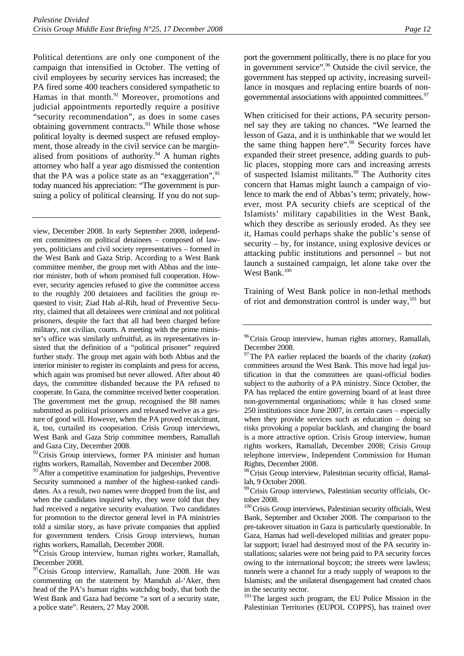Political detentions are only one component of the campaign that intensified in October. The vetting of civil employees by security services has increased; the PA fired some 400 teachers considered sympathetic to Hamas in that month.<sup>92</sup> Moreover, promotions and judicial appointments reportedly require a positive "security recommendation", as does in some cases obtaining government contracts. $93$  While those whose political loyalty is deemed suspect are refused employment, those already in the civil service can be marginalised from positions of authority. $94$  A human rights attorney who half a year ago dismissed the contention that the PA was a police state as an "exaggeration",<sup>95</sup> today nuanced his appreciation: "The government is pursuing a policy of political cleansing. If you do not sup-

view, December 2008. In early September 2008, independent committees on political detainees – composed of lawyers, politicians and civil society representatives – formed in the West Bank and Gaza Strip. According to a West Bank committee member, the group met with Abbas and the interior minister, both of whom promised full cooperation. However, security agencies refused to give the committee access to the roughly 200 detainees and facilities the group requested to visit; Ziad Hab al-Rih, head of Preventive Security, claimed that all detainees were criminal and not political prisoners, despite the fact that all had been charged before military, not civilian, courts. A meeting with the prime minister's office was similarly unfruitful, as its representatives insisted that the definition of a "political prisoner" required further study. The group met again with both Abbas and the interior minister to register its complaints and press for access, which again was promised but never allowed. After about 40 days, the committee disbanded because the PA refused to cooperate. In Gaza, the committee received better cooperation. The government met the group, recognised the 88 names submitted as political prisoners and released twelve as a gesture of good will. However, when the PA proved recalcitrant, it, too, curtailed its cooperation. Crisis Group interviews, West Bank and Gaza Strip committee members, Ramallah and Gaza City, December 2008.

<sup>92</sup> Crisis Group interviews, former PA minister and human rights workers, Ramallah, November and December 2008.

 $3$ After a competitive examination for judgeships, Preventive Security summoned a number of the highest-ranked candidates. As a result, two names were dropped from the list, and when the candidates inquired why, they were told that they had received a negative security evaluation. Two candidates for promotion to the director general level in PA ministries told a similar story, as have private companies that applied for government tenders. Crisis Group interviews, human rights workers, Ramallah, December 2008.

<sup>94</sup>Crisis Group interview, human rights worker, Ramallah, December 2008.

<sup>95</sup> Crisis Group interview, Ramallah, June 2008. He was commenting on the statement by Mamduh al-'Aker, then head of the PA's human rights watchdog body, that both the West Bank and Gaza had become "a sort of a security state, a police state". Reuters, 27 May 2008.

port the government politically, there is no place for you in government service".<sup>96</sup> Outside the civil service, the government has stepped up activity, increasing surveillance in mosques and replacing entire boards of nongovernmental associations with appointed committees.<sup>97</sup>

When criticised for their actions, PA security personnel say they are taking no chances. "We learned the lesson of Gaza, and it is unthinkable that we would let the same thing happen here".<sup>98</sup> Security forces have expanded their street presence, adding guards to public places, stopping more cars and increasing arrests of suspected Islamist militants.<sup>99</sup> The Authority cites concern that Hamas might launch a campaign of violence to mark the end of Abbas's term; privately, however, most PA security chiefs are sceptical of the Islamists' military capabilities in the West Bank, which they describe as seriously eroded. As they see it, Hamas could perhaps shake the public's sense of security – by, for instance, using explosive devices or attacking public institutions and personnel – but not launch a sustained campaign, let alone take over the West Bank.<sup>100</sup>

Training of West Bank police in non-lethal methods of riot and demonstration control is under way, $101$  but

<sup>98</sup> Crisis Group interview, Palestinian security official, Ramallah, 9 October 2008.

<sup>99</sup> Crisis Group interviews, Palestinian security officials, October 2008.

<sup>100</sup>Crisis Group interviews, Palestinian security officials, West Bank, September and October 2008. The comparison to the pre-takeover situation in Gaza is particularly questionable. In Gaza, Hamas had well-developed militias and greater popular support; Israel had destroyed most of the PA security installations; salaries were not being paid to PA security forces owing to the international boycott; the streets were lawless; tunnels were a channel for a ready supply of weapons to the Islamists; and the unilateral disengagement had created chaos in the security sector.

<sup>101</sup>The largest such program, the EU Police Mission in the Palestinian Territories (EUPOL COPPS), has trained over

<sup>&</sup>lt;sup>96</sup> Crisis Group interview, human rights attorney, Ramallah, December 2008.

<sup>97</sup>The PA earlier replaced the boards of the charity (*zakat*) committees around the West Bank. This move had legal justification in that the committees are quasi-official bodies subject to the authority of a PA ministry. Since October, the PA has replaced the entire governing board of at least three non-governmental organisations; while it has closed some 250 institutions since June 2007, in certain cases – especially when they provide services such as education – doing so risks provoking a popular backlash, and changing the board is a more attractive option. Crisis Group interview, human rights workers, Ramallah, December 2008; Crisis Group telephone interview, Independent Commission for Human Rights, December 2008.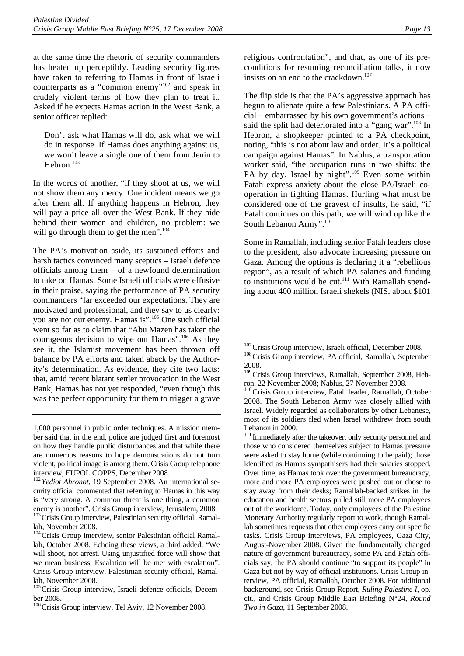at the same time the rhetoric of security commanders has heated up perceptibly. Leading security figures have taken to referring to Hamas in front of Israeli counterparts as a "common enemy"102 and speak in crudely violent terms of how they plan to treat it. Asked if he expects Hamas action in the West Bank, a senior officer replied:

Don't ask what Hamas will do, ask what we will do in response. If Hamas does anything against us, we won't leave a single one of them from Jenin to Hebron.<sup>103</sup>

In the words of another, "if they shoot at us, we will not show them any mercy. One incident means we go after them all. If anything happens in Hebron, they will pay a price all over the West Bank. If they hide behind their women and children, no problem: we will go through them to get the men".<sup>104</sup>

The PA's motivation aside, its sustained efforts and harsh tactics convinced many sceptics – Israeli defence officials among them – of a newfound determination to take on Hamas. Some Israeli officials were effusive in their praise, saying the performance of PA security commanders "far exceeded our expectations. They are motivated and professional, and they say to us clearly: you are not our enemy. Hamas is".<sup>105</sup> One such official went so far as to claim that "Abu Mazen has taken the courageous decision to wipe out Hamas".<sup>106</sup> As they see it, the Islamist movement has been thrown off balance by PA efforts and taken aback by the Authority's determination. As evidence, they cite two facts: that, amid recent blatant settler provocation in the West Bank, Hamas has not yet responded, "even though this was the perfect opportunity for them to trigger a grave religious confrontation", and that, as one of its preconditions for resuming reconciliation talks, it now insists on an end to the crackdown.<sup>107</sup>

The flip side is that the PA's aggressive approach has begun to alienate quite a few Palestinians. A PA official – embarrassed by his own government's actions – said the split had deteriorated into a "gang war".<sup>108</sup> In Hebron, a shopkeeper pointed to a PA checkpoint, noting, "this is not about law and order. It's a political campaign against Hamas". In Nablus, a transportation worker said, "the occupation runs in two shifts: the PA by day, Israel by night".<sup>109</sup> Even some within Fatah express anxiety about the close PA/Israeli cooperation in fighting Hamas. Hurling what must be considered one of the gravest of insults, he said, "if Fatah continues on this path, we will wind up like the South Lebanon Army".<sup>110</sup>

Some in Ramallah, including senior Fatah leaders close to the president, also advocate increasing pressure on Gaza. Among the options is declaring it a "rebellious region", as a result of which PA salaries and funding to institutions would be cut.<sup>111</sup> With Ramallah spending about 400 million Israeli shekels (NIS, about \$101

<sup>1,000</sup> personnel in public order techniques. A mission member said that in the end, police are judged first and foremost on how they handle public disturbances and that while there are numerous reasons to hope demonstrations do not turn violent, political image is among them. Crisis Group telephone interview, EUPOL COPPS, December 2008.

<sup>102</sup>*Yediot Ahronot*, 19 September 2008. An international security official commented that referring to Hamas in this way is "very strong. A common threat is one thing, a common enemy is another". Crisis Group interview, Jerusalem, 2008. <sup>103</sup> Crisis Group interview, Palestinian security official, Ramal-

lah, November 2008.

<sup>&</sup>lt;sup>104</sup>Crisis Group interview, senior Palestinian official Ramallah, October 2008. Echoing these views, a third added: "We will shoot, not arrest. Using unjustified force will show that we mean business. Escalation will be met with escalation". Crisis Group interview, Palestinian security official, Ramallah, November 2008.

<sup>&</sup>lt;sup>105</sup> Crisis Group interview, Israeli defence officials, December 2008.

<sup>&</sup>lt;sup>106</sup>Crisis Group interview, Tel Aviv, 12 November 2008.

 $107$ Crisis Group interview, Israeli official, December 2008.  $108$ Crisis Group interview, PA official, Ramallah, September 2008.

<sup>&</sup>lt;sup>109</sup>Crisis Group interviews, Ramallah, September 2008, Hebron, 22 November 2008; Nablus, 27 November 2008.

<sup>&</sup>lt;sup>110</sup>Crisis Group interview, Fatah leader, Ramallah, October 2008. The South Lebanon Army was closely allied with Israel. Widely regarded as collaborators by other Lebanese, most of its soldiers fled when Israel withdrew from south Lebanon in 2000.

<sup>&</sup>lt;sup>111</sup> Immediately after the takeover, only security personnel and those who considered themselves subject to Hamas pressure were asked to stay home (while continuing to be paid); those identified as Hamas sympathisers had their salaries stopped. Over time, as Hamas took over the government bureaucracy, more and more PA employees were pushed out or chose to stay away from their desks; Ramallah-backed strikes in the education and health sectors pulled still more PA employees out of the workforce. Today, only employees of the Palestine Monetary Authority regularly report to work, though Ramallah sometimes requests that other employees carry out specific tasks. Crisis Group interviews, PA employees, Gaza City, August-November 2008. Given the fundamentally changed nature of government bureaucracy, some PA and Fatah officials say, the PA should continue "to support its people" in Gaza but not by way of official institutions. Crisis Group interview, PA official, Ramallah, October 2008. For additional background, see Crisis Group Report, *Ruling Palestine I*, op. cit., and Crisis Group Middle East Briefing N°24, *Round Two in Gaza*, 11 September 2008.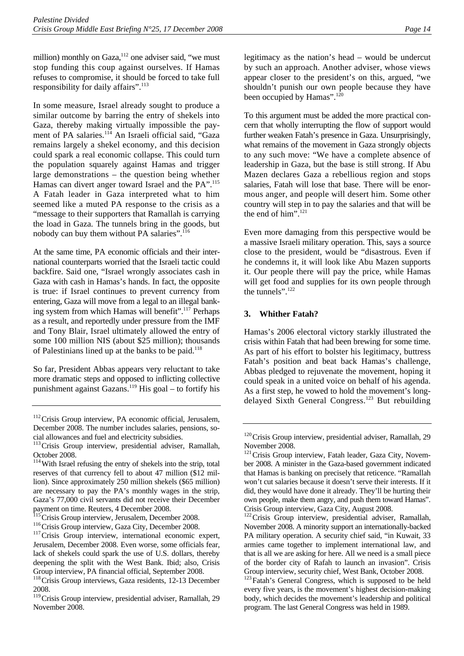million) monthly on Gaza, $112$  one adviser said, "we must stop funding this coup against ourselves. If Hamas refuses to compromise, it should be forced to take full responsibility for daily affairs".<sup>113</sup>

In some measure, Israel already sought to produce a similar outcome by barring the entry of shekels into Gaza, thereby making virtually impossible the payment of PA salaries.<sup>114</sup> An Israeli official said, "Gaza remains largely a shekel economy, and this decision could spark a real economic collapse. This could turn the population squarely against Hamas and trigger large demonstrations – the question being whether Hamas can divert anger toward Israel and the PA".<sup>115</sup> A Fatah leader in Gaza interpreted what to him seemed like a muted PA response to the crisis as a "message to their supporters that Ramallah is carrying the load in Gaza. The tunnels bring in the goods, but nobody can buy them without PA salaries".<sup>116</sup>

At the same time, PA economic officials and their international counterparts worried that the Israeli tactic could backfire. Said one, "Israel wrongly associates cash in Gaza with cash in Hamas's hands. In fact, the opposite is true: if Israel continues to prevent currency from entering, Gaza will move from a legal to an illegal banking system from which Hamas will benefit".117 Perhaps as a result, and reportedly under pressure from the IMF and Tony Blair, Israel ultimately allowed the entry of some 100 million NIS (about \$25 million); thousands of Palestinians lined up at the banks to be paid.<sup>118</sup>

So far, President Abbas appears very reluctant to take more dramatic steps and opposed to inflicting collective punishment against Gazans.<sup>119</sup> His goal – to fortify his legitimacy as the nation's head – would be undercut by such an approach. Another adviser, whose views appear closer to the president's on this, argued, "we shouldn't punish our own people because they have been occupied by Hamas".<sup>120</sup>

To this argument must be added the more practical concern that wholly interrupting the flow of support would further weaken Fatah's presence in Gaza. Unsurprisingly, what remains of the movement in Gaza strongly objects to any such move: "We have a complete absence of leadership in Gaza, but the base is still strong. If Abu Mazen declares Gaza a rebellious region and stops salaries, Fatah will lose that base. There will be enormous anger, and people will desert him. Some other country will step in to pay the salaries and that will be the end of him".<sup>121</sup>

Even more damaging from this perspective would be a massive Israeli military operation. This, says a source close to the president, would be "disastrous. Even if he condemns it, it will look like Abu Mazen supports it. Our people there will pay the price, while Hamas will get food and supplies for its own people through the tunnels".<sup>122</sup>

#### **3. Whither Fatah?**

Hamas's 2006 electoral victory starkly illustrated the crisis within Fatah that had been brewing for some time. As part of his effort to bolster his legitimacy, buttress Fatah's position and beat back Hamas's challenge, Abbas pledged to rejuvenate the movement, hoping it could speak in a united voice on behalf of his agenda. As a first step, he vowed to hold the movement's longdelayed Sixth General Congress.<sup>123</sup> But rebuilding

<sup>&</sup>lt;sup>112</sup> Crisis Group interview, PA economic official, Jerusalem, December 2008. The number includes salaries, pensions, so-

cial allowances and fuel and electricity subsidies.<br><sup>113</sup>Crisis Group interview, presidential adviser, Ramallah, October 2008.

<sup>&</sup>lt;sup>114</sup>With Israel refusing the entry of shekels into the strip, total reserves of that currency fell to about 47 million (\$12 million). Since approximately 250 million shekels (\$65 million) are necessary to pay the PA's monthly wages in the strip, Gaza's 77,000 civil servants did not receive their December

payment on time. Reuters, 4 December 2008.<br><sup>115</sup> Crisis Group interview, Jerusalem, December 2008.

<sup>&</sup>lt;sup>116</sup>Crisis Group interview, Gaza City, December 2008.<br><sup>117</sup>Crisis Group interview, international economic expert, Jerusalem, December 2008. Even worse, some officials fear, lack of shekels could spark the use of U.S. dollars, thereby deepening the split with the West Bank. Ibid; also, Crisis Group interview, PA financial official, September 2008.

<sup>&</sup>lt;sup>118</sup>Crisis Group interviews, Gaza residents, 12-13 December 2008.

<sup>&</sup>lt;sup>119</sup> Crisis Group interview, presidential adviser, Ramallah, 29 November 2008.

<sup>&</sup>lt;sup>120</sup>Crisis Group interview, presidential adviser, Ramallah, 29 November 2008.

<sup>&</sup>lt;sup>121</sup> Crisis Group interview, Fatah leader, Gaza City, November 2008. A minister in the Gaza-based government indicated that Hamas is banking on precisely that reticence. "Ramallah won't cut salaries because it doesn't serve their interests. If it did, they would have done it already. They'll be hurting their own people, make them angry, and push them toward Hamas". Crisis Group interview, Gaza City, August 2008.

<sup>&</sup>lt;sup>122</sup> Crisis Group interview, presidential adviser, Ramallah, November 2008. A minority support an internationally-backed PA military operation. A security chief said, "in Kuwait, 33 armies came together to implement international law, and that is all we are asking for here. All we need is a small piece of the border city of Rafah to launch an invasion". Crisis Group interview, security chief, West Bank, October 2008.

<sup>&</sup>lt;sup>123</sup>Fatah's General Congress, which is supposed to be held every five years, is the movement's highest decision-making body, which decides the movement's leadership and political program. The last General Congress was held in 1989.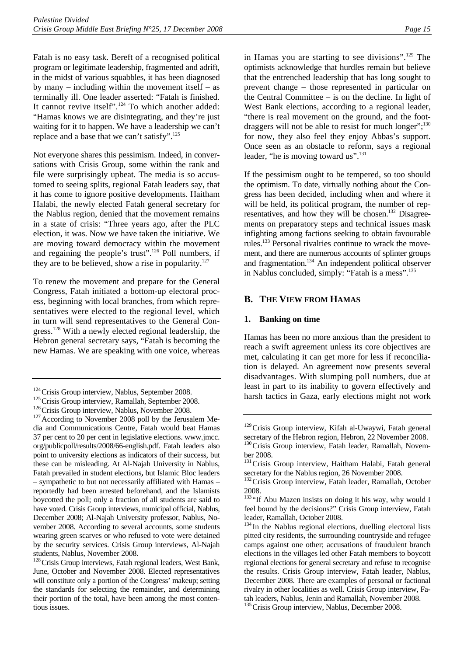Fatah is no easy task. Bereft of a recognised political program or legitimate leadership, fragmented and adrift, in the midst of various squabbles, it has been diagnosed by many – including within the movement itself – as terminally ill. One leader asserted: "Fatah is finished. It cannot revive itself".<sup>124</sup> To which another added: "Hamas knows we are disintegrating, and they're just waiting for it to happen. We have a leadership we can't replace and a base that we can't satisfy".125

Not everyone shares this pessimism. Indeed, in conversations with Crisis Group, some within the rank and file were surprisingly upbeat. The media is so accustomed to seeing splits, regional Fatah leaders say, that it has come to ignore positive developments. Haitham Halabi, the newly elected Fatah general secretary for the Nablus region, denied that the movement remains in a state of crisis: "Three years ago, after the PLC election, it was. Now we have taken the initiative. We are moving toward democracy within the movement and regaining the people's trust".126 Poll numbers, if they are to be believed, show a rise in popularity. $127$ 

To renew the movement and prepare for the General Congress, Fatah initiated a bottom-up electoral process, beginning with local branches, from which representatives were elected to the regional level, which in turn will send representatives to the General Congress.<sup>128</sup> With a newly elected regional leadership, the Hebron general secretary says, "Fatah is becoming the new Hamas. We are speaking with one voice, whereas

in Hamas you are starting to see divisions".<sup>129</sup> The optimists acknowledge that hurdles remain but believe that the entrenched leadership that has long sought to prevent change – those represented in particular on the Central Committee – is on the decline. In light of West Bank elections, according to a regional leader, "there is real movement on the ground, and the footdraggers will not be able to resist for much longer";<sup>130</sup> for now, they also feel they enjoy Abbas's support. Once seen as an obstacle to reform, says a regional leader, "he is moving toward us".<sup>131</sup>

If the pessimism ought to be tempered, so too should the optimism. To date, virtually nothing about the Congress has been decided, including when and where it will be held, its political program, the number of representatives, and how they will be chosen.<sup>132</sup> Disagreements on preparatory steps and technical issues mask infighting among factions seeking to obtain favourable rules.133 Personal rivalries continue to wrack the movement, and there are numerous accounts of splinter groups and fragmentation. $134$  An independent political observer in Nablus concluded, simply: "Fatah is a mess".135

#### **B. THE VIEW FROM HAMAS**

#### **1. Banking on time**

Hamas has been no more anxious than the president to reach a swift agreement unless its core objectives are met, calculating it can get more for less if reconciliation is delayed. An agreement now presents several disadvantages. With slumping poll numbers, due at least in part to its inability to govern effectively and harsh tactics in Gaza, early elections might not work

<sup>135</sup> Crisis Group interview, Nablus, December 2008.

<sup>&</sup>lt;sup>124</sup>Crisis Group interview, Nablus, September 2008.<br><sup>125</sup>Crisis Group interview, Ramallah, September 2008.<br><sup>126</sup>Crisis Group interview, Nablus, November 2008.<br><sup>127</sup>According to November 2008 poll by the Jerusalem Media and Communications Centre, Fatah would beat Hamas 37 per cent to 20 per cent in legislative elections. www.jmcc. org/publicpoll/results/2008/66-english.pdf. Fatah leaders also point to university elections as indicators of their success, but these can be misleading. At Al-Najah University in Nablus, Fatah prevailed in student elections**,** but Islamic Bloc leaders – sympathetic to but not necessarily affiliated with Hamas – reportedly had been arrested beforehand, and the Islamists boycotted the poll; only a fraction of all students are said to have voted. Crisis Group interviews, municipal official, Nablus, December 2008; Al-Najah University professor, Nablus, November 2008. According to several accounts, some students wearing green scarves or who refused to vote were detained by the security services. Crisis Group interviews, Al-Najah

students, Nablus, November 2008.<br><sup>128</sup>Crisis Group interviews, Fatah regional leaders, West Bank, June, October and November 2008. Elected representatives will constitute only a portion of the Congress' makeup; setting the standards for selecting the remainder, and determining their portion of the total, have been among the most contentious issues.

<sup>&</sup>lt;sup>129</sup>Crisis Group interview, Kifah al-Uwaywi, Fatah general secretary of the Hebron region, Hebron, 22 November 2008. <sup>130</sup>Crisis Group interview, Fatah leader, Ramallah, Novem-

ber 2008.

<sup>&</sup>lt;sup>131</sup> Crisis Group interview, Haitham Halabi, Fatah general secretary for the Nablus region, 26 November 2008.

<sup>&</sup>lt;sup>132</sup> Crisis Group interview, Fatah leader, Ramallah, October 2008.

<sup>133 &</sup>quot;If Abu Mazen insists on doing it his way, why would I feel bound by the decisions?" Crisis Group interview, Fatah leader, Ramallah, October 2008.

<sup>&</sup>lt;sup>134</sup> In the Nablus regional elections, duelling electoral lists pitted city residents, the surrounding countryside and refugee camps against one other; accusations of fraudulent branch elections in the villages led other Fatah members to boycott regional elections for general secretary and refuse to recognise the results. Crisis Group interview, Fatah leader, Nablus, December 2008. There are examples of personal or factional rivalry in other localities as well. Crisis Group interview, Fatah leaders, Nablus, Jenin and Ramallah, November 2008.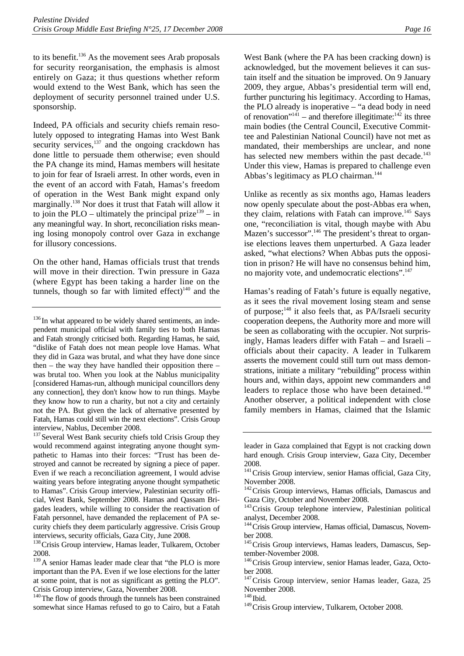to its benefit.136 As the movement sees Arab proposals for security reorganisation, the emphasis is almost entirely on Gaza; it thus questions whether reform would extend to the West Bank, which has seen the deployment of security personnel trained under U.S. sponsorship.

Indeed, PA officials and security chiefs remain resolutely opposed to integrating Hamas into West Bank security services, $137$  and the ongoing crackdown has done little to persuade them otherwise; even should the PA change its mind, Hamas members will hesitate to join for fear of Israeli arrest. In other words, even in the event of an accord with Fatah, Hamas's freedom of operation in the West Bank might expand only marginally.138 Nor does it trust that Fatah will allow it to join the PLO – ultimately the principal prize<sup>139</sup> – in any meaningful way. In short, reconciliation risks meaning losing monopoly control over Gaza in exchange for illusory concessions.

On the other hand, Hamas officials trust that trends will move in their direction. Twin pressure in Gaza (where Egypt has been taking a harder line on the tunnels, though so far with limited effect) $140$  and the

<sup>137</sup> Several West Bank security chiefs told Crisis Group they would recommend against integrating anyone thought sympathetic to Hamas into their forces: "Trust has been destroyed and cannot be recreated by signing a piece of paper. Even if we reach a reconciliation agreement, I would advise waiting years before integrating anyone thought sympathetic to Hamas". Crisis Group interview, Palestinian security official, West Bank, September 2008. Hamas and Qassam Brigades leaders, while willing to consider the reactivation of Fatah personnel, have demanded the replacement of PA security chiefs they deem particularly aggressive. Crisis Group interviews, security officials, Gaza City, June 2008.<br><sup>138</sup>Crisis Group interview, Hamas leader, Tulkarem, October

2008.

<sup>139</sup>A senior Hamas leader made clear that "the PLO is more important than the PA. Even if we lose elections for the latter at some point, that is not as significant as getting the PLO". Crisis Group interview, Gaza, November 2008.

<sup>140</sup>The flow of goods through the tunnels has been constrained somewhat since Hamas refused to go to Cairo, but a Fatah

West Bank (where the PA has been cracking down) is acknowledged, but the movement believes it can sustain itself and the situation be improved. On 9 January 2009, they argue, Abbas's presidential term will end, further puncturing his legitimacy. According to Hamas, the PLO already is inoperative – "a dead body in need of renovation"<sup>141</sup> – and therefore illegitimate:<sup>142</sup> its three main bodies (the Central Council, Executive Committee and Palestinian National Council) have not met as mandated, their memberships are unclear, and none has selected new members within the past decade.<sup>143</sup> Under this view, Hamas is prepared to challenge even Abbas's legitimacy as PLO chairman.<sup>144</sup>

Unlike as recently as six months ago, Hamas leaders now openly speculate about the post-Abbas era when, they claim, relations with Fatah can improve.<sup>145</sup> Says one, "reconciliation is vital, though maybe with Abu Mazen's successor".<sup>146</sup> The president's threat to organise elections leaves them unperturbed. A Gaza leader asked, "what elections? When Abbas puts the opposition in prison? He will have no consensus behind him, no majority vote, and undemocratic elections".<sup>147</sup>

Hamas's reading of Fatah's future is equally negative, as it sees the rival movement losing steam and sense of purpose;148 it also feels that, as PA/Israeli security cooperation deepens, the Authority more and more will be seen as collaborating with the occupier. Not surprisingly, Hamas leaders differ with Fatah – and Israeli – officials about their capacity. A leader in Tulkarem asserts the movement could still turn out mass demonstrations, initiate a military "rebuilding" process within hours and, within days, appoint new commanders and leaders to replace those who have been detained.<sup>149</sup> Another observer, a political independent with close family members in Hamas, claimed that the Islamic

<sup>148</sup> Ibid.

<sup>149</sup> Crisis Group interview, Tulkarem, October 2008.

 $136$  In what appeared to be widely shared sentiments, an independent municipal official with family ties to both Hamas and Fatah strongly criticised both. Regarding Hamas, he said, "dislike of Fatah does not mean people love Hamas. What they did in Gaza was brutal, and what they have done since then – the way they have handled their opposition there – was brutal too. When you look at the Nablus municipality [considered Hamas-run, although municipal councillors deny any connection], they don't know how to run things. Maybe they know how to run a charity, but not a city and certainly not the PA. But given the lack of alternative presented by Fatah, Hamas could still win the next elections". Crisis Group interview, Nablus, December 2008.

leader in Gaza complained that Egypt is not cracking down hard enough. Crisis Group interview, Gaza City, December 2008.

<sup>&</sup>lt;sup>141</sup> Crisis Group interview, senior Hamas official, Gaza City, November 2008.

<sup>&</sup>lt;sup>142</sup> Crisis Group interviews, Hamas officials, Damascus and Gaza City, October and November 2008.

<sup>&</sup>lt;sup>143</sup> Crisis Group telephone interview, Palestinian political analyst, December 2008.

<sup>&</sup>lt;sup>144</sup> Crisis Group interview, Hamas official, Damascus, November 2008.

<sup>&</sup>lt;sup>145</sup> Crisis Group interviews, Hamas leaders, Damascus, September-November 2008.

<sup>&</sup>lt;sup>146</sup> Crisis Group interview, senior Hamas leader, Gaza, October 2008.

<sup>&</sup>lt;sup>147</sup> Crisis Group interview, senior Hamas leader, Gaza, 25 November 2008.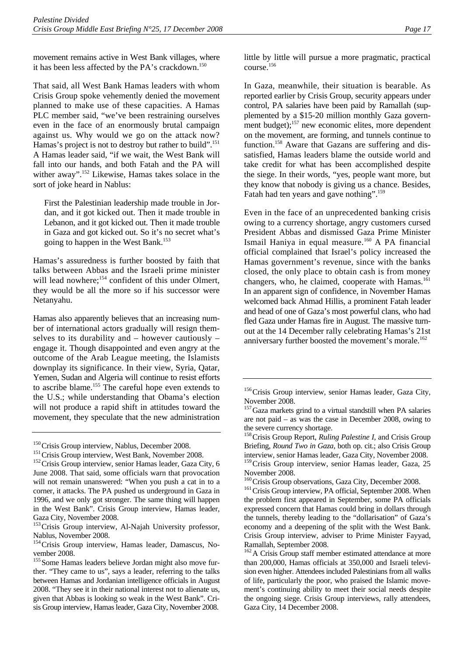movement remains active in West Bank villages, where it has been less affected by the PA's crackdown.<sup>150</sup>

That said, all West Bank Hamas leaders with whom Crisis Group spoke vehemently denied the movement planned to make use of these capacities. A Hamas PLC member said, "we've been restraining ourselves even in the face of an enormously brutal campaign against us. Why would we go on the attack now? Hamas's project is not to destroy but rather to build".<sup>151</sup> A Hamas leader said, "if we wait, the West Bank will fall into our hands, and both Fatah and the PA will wither away".<sup>152</sup> Likewise, Hamas takes solace in the sort of joke heard in Nablus:

First the Palestinian leadership made trouble in Jordan, and it got kicked out. Then it made trouble in Lebanon, and it got kicked out. Then it made trouble in Gaza and got kicked out. So it's no secret what's going to happen in the West Bank.153

Hamas's assuredness is further boosted by faith that talks between Abbas and the Israeli prime minister will lead nowhere;<sup>154</sup> confident of this under Olmert, they would be all the more so if his successor were Netanyahu.

Hamas also apparently believes that an increasing number of international actors gradually will resign themselves to its durability and – however cautiously – engage it. Though disappointed and even angry at the outcome of the Arab League meeting, the Islamists downplay its significance. In their view, Syria, Qatar, Yemen, Sudan and Algeria will continue to resist efforts to ascribe blame.155 The careful hope even extends to the U.S.; while understanding that Obama's election will not produce a rapid shift in attitudes toward the movement, they speculate that the new administration

little by little will pursue a more pragmatic, practical course.156

In Gaza, meanwhile, their situation is bearable. As reported earlier by Crisis Group, security appears under control, PA salaries have been paid by Ramallah (supplemented by a \$15-20 million monthly Gaza government budget);<sup>157</sup> new economic elites, more dependent on the movement, are forming, and tunnels continue to function.<sup>158</sup> Aware that Gazans are suffering and dissatisfied, Hamas leaders blame the outside world and take credit for what has been accomplished despite the siege. In their words, "yes, people want more, but they know that nobody is giving us a chance. Besides, Fatah had ten years and gave nothing".<sup>159</sup>

Even in the face of an unprecedented banking crisis owing to a currency shortage, angry customers cursed President Abbas and dismissed Gaza Prime Minister Ismail Haniya in equal measure.<sup>160</sup> A PA financial official complained that Israel's policy increased the Hamas government's revenue, since with the banks closed, the only place to obtain cash is from money changers, who, he claimed, cooperate with Hamas.<sup>161</sup> In an apparent sign of confidence, in November Hamas welcomed back Ahmad Hillis, a prominent Fatah leader and head of one of Gaza's most powerful clans, who had fled Gaza under Hamas fire in August. The massive turnout at the 14 December rally celebrating Hamas's 21st anniversary further boosted the movement's morale.<sup>162</sup>

<sup>&</sup>lt;sup>150</sup>Crisis Group interview, Nablus, December 2008.<br><sup>151</sup>Crisis Group interview, West Bank, November 2008.<br><sup>152</sup>Crisis Group interview, senior Hamas leader, Gaza City, 6 June 2008. That said, some officials warn that provocation will not remain unanswered: "When you push a cat in to a corner, it attacks. The PA pushed us underground in Gaza in 1996, and we only got stronger. The same thing will happen in the West Bank". Crisis Group interview, Hamas leader, Gaza City, November 2008.

<sup>&</sup>lt;sup>153</sup>Crisis Group interview, Al-Najah University professor, Nablus, November 2008.

<sup>&</sup>lt;sup>154</sup>Crisis Group interview, Hamas leader, Damascus, November 2008.

<sup>&</sup>lt;sup>155</sup> Some Hamas leaders believe Jordan might also move further. "They came to us", says a leader, referring to the talks between Hamas and Jordanian intelligence officials in August 2008. "They see it in their national interest not to alienate us, given that Abbas is looking so weak in the West Bank". Crisis Group interview, Hamas leader, Gaza City, November 2008.

<sup>&</sup>lt;sup>156</sup> Crisis Group interview, senior Hamas leader, Gaza City, November 2008.

<sup>&</sup>lt;sup>157</sup>Gaza markets grind to a virtual standstill when PA salaries are not paid – as was the case in December 2008, owing to the severe currency shortage.

<sup>&</sup>lt;sup>158</sup>Crisis Group Report, *Ruling Palestine I*, and Crisis Group Briefing, *Round Two in Gaza*, both op. cit.; also Crisis Group interview, senior Hamas leader, Gaza City, November 2008.

<sup>&</sup>lt;sup>159</sup>Crisis Group interview, senior Hamas leader, Gaza, 25 November 2008.<br><sup>160</sup> Crisis Group observations, Gaza City, December 2008.

<sup>&</sup>lt;sup>161</sup> Crisis Group interview, PA official, September 2008. When the problem first appeared in September, some PA officials expressed concern that Hamas could bring in dollars through the tunnels, thereby leading to the "dollarisation" of Gaza's economy and a deepening of the split with the West Bank. Crisis Group interview, adviser to Prime Minister Fayyad, Ramallah, September 2008.

<sup>&</sup>lt;sup>162</sup>A Crisis Group staff member estimated attendance at more than 200,000, Hamas officials at 350,000 and Israeli television even higher. Attendees included Palestinians from all walks of life, particularly the poor, who praised the Islamic movement's continuing ability to meet their social needs despite the ongoing siege. Crisis Group interviews, rally attendees, Gaza City, 14 December 2008.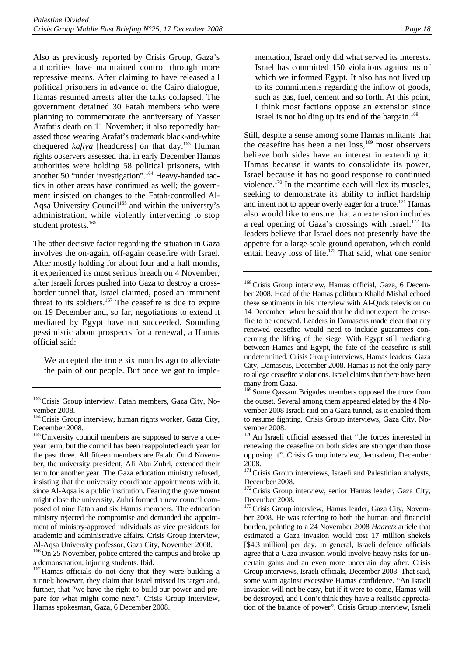Also as previously reported by Crisis Group, Gaza's authorities have maintained control through more repressive means. After claiming to have released all political prisoners in advance of the Cairo dialogue, Hamas resumed arrests after the talks collapsed. The government detained 30 Fatah members who were planning to commemorate the anniversary of Yasser Arafat's death on 11 November; it also reportedly harassed those wearing Arafat's trademark black-and-white chequered *kafiya* [headdress] on that day.<sup>163</sup> Human rights observers assessed that in early December Hamas authorities were holding 58 political prisoners, with another 50 "under investigation".164 Heavy-handed tactics in other areas have continued as well; the government insisted on changes to the Fatah-controlled Al-Aqsa University Council<sup>165</sup> and within the universty's administration, while violently intervening to stop student protests.<sup>166</sup>

The other decisive factor regarding the situation in Gaza involves the on-again, off-again ceasefire with Israel. After mostly holding for about four and a half months**,** it experienced its most serious breach on 4 November, after Israeli forces pushed into Gaza to destroy a crossborder tunnel that, Israel claimed, posed an imminent threat to its soldiers.<sup>167</sup> The ceasefire is due to expire on 19 December and, so far, negotiations to extend it mediated by Egypt have not succeeded. Sounding pessimistic about prospects for a renewal, a Hamas official said:

We accepted the truce six months ago to alleviate the pain of our people. But once we got to imple-

<sup>165</sup>University council members are supposed to serve a oneyear term, but the council has been reappointed each year for the past three. All fifteen members are Fatah. On 4 November, the university president, Ali Abu Zuhri, extended their term for another year. The Gaza education ministry refused, insisting that the university coordinate appointments with it, since Al-Aqsa is a public institution. Fearing the government might close the university, Zuhri formed a new council composed of nine Fatah and six Hamas members. The education ministry rejected the compromise and demanded the appointment of ministry-approved individuals as vice presidents for academic and administrative affairs. Crisis Group interview,

Al-Aqsa University professor, Gaza City, November 2008.<br><sup>166</sup>On 25 November, police entered the campus and broke up a demonstration, injuring students. Ibid.

<sup>167</sup> Hamas officials do not deny that they were building a tunnel; however, they claim that Israel missed its target and, further, that "we have the right to build our power and prepare for what might come next". Crisis Group interview, Hamas spokesman, Gaza, 6 December 2008.

mentation, Israel only did what served its interests. Israel has committed 150 violations against us of which we informed Egypt. It also has not lived up to its commitments regarding the inflow of goods, such as gas, fuel, cement and so forth. At this point, I think most factions oppose an extension since Israel is not holding up its end of the bargain.<sup>168</sup>

Still, despite a sense among some Hamas militants that the ceasefire has been a net  $loss<sub>169</sub>$  most observers believe both sides have an interest in extending it: Hamas because it wants to consolidate its power, Israel because it has no good response to continued violence.170 In the meantime each will flex its muscles, seeking to demonstrate its ability to inflict hardship and intent not to appear overly eager for a truce.<sup>171</sup> Hamas also would like to ensure that an extension includes a real opening of Gaza's crossings with Israel.<sup>172</sup> Its leaders believe that Israel does not presently have the appetite for a large-scale ground operation, which could entail heavy loss of life.<sup>173</sup> That said, what one senior

<sup>168</sup> Crisis Group interview, Hamas official, Gaza, 6 December 2008. Head of the Hamas politburo Khalid Mishal echoed these sentiments in his interview with Al-Quds television on 14 December, when he said that he did not expect the ceasefire to be renewed. Leaders in Damascus made clear that any renewed ceasefire would need to include guarantees concerning the lifting of the siege. With Egypt still mediating between Hamas and Egypt, the fate of the ceasefire is still undetermined. Crisis Group interviews, Hamas leaders, Gaza City, Damascus, December 2008. Hamas is not the only party to allege ceasefire violations. Israel claims that there have been many from Gaza.

<sup>171</sup>Crisis Group interviews, Israeli and Palestinian analysts, December 2008.

<sup>172</sup> Crisis Group interview, senior Hamas leader, Gaza City, December 2008.

<sup>173</sup> Crisis Group interview, Hamas leader, Gaza City, November 2008. He was referring to both the human and financial burden, pointing to a 24 November 2008 *Haaretz* article that estimated a Gaza invasion would cost 17 million shekels [\$4.3 million] per day. In general, Israeli defence officials agree that a Gaza invasion would involve heavy risks for uncertain gains and an even more uncertain day after. Crisis Group interviews, Israeli officials, December 2008. That said, some warn against excessive Hamas confidence. "An Israeli invasion will not be easy, but if it were to come, Hamas will be destroyed, and I don't think they have a realistic appreciation of the balance of power". Crisis Group interview, Israeli

<sup>&</sup>lt;sup>163</sup> Crisis Group interview, Fatah members, Gaza City, November 2008.

<sup>&</sup>lt;sup>164</sup> Crisis Group interview, human rights worker, Gaza City, December 2008.

<sup>&</sup>lt;sup>169</sup> Some Qassam Brigades members opposed the truce from the outset. Several among them appeared elated by the 4 November 2008 Israeli raid on a Gaza tunnel, as it enabled them to resume fighting. Crisis Group interviews, Gaza City, November 2008.

<sup>&</sup>lt;sup>170</sup>An Israeli official assessed that "the forces interested in renewing the ceasefire on both sides are stronger than those opposing it". Crisis Group interview, Jerusalem, December 2008.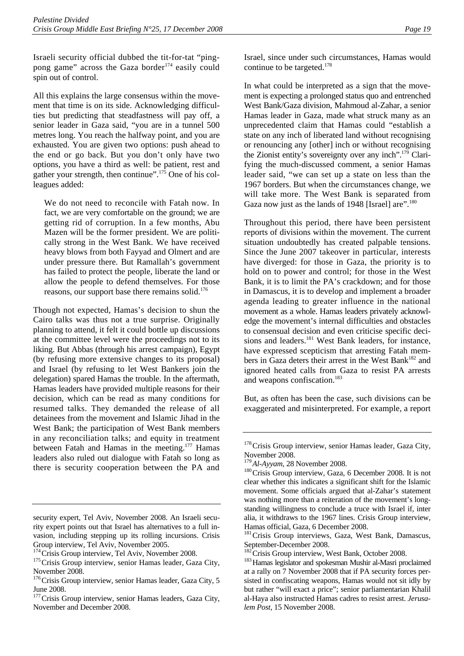Israeli security official dubbed the tit-for-tat "pingpong game" across the Gaza border<sup>174</sup> easily could spin out of control.

All this explains the large consensus within the movement that time is on its side. Acknowledging difficulties but predicting that steadfastness will pay off, a senior leader in Gaza said, "you are in a tunnel 500 metres long. You reach the halfway point, and you are exhausted. You are given two options: push ahead to the end or go back. But you don't only have two options, you have a third as well: be patient, rest and gather your strength, then continue".<sup>175</sup> One of his colleagues added:

We do not need to reconcile with Fatah now. In fact, we are very comfortable on the ground; we are getting rid of corruption. In a few months, Abu Mazen will be the former president. We are politically strong in the West Bank. We have received heavy blows from both Fayyad and Olmert and are under pressure there. But Ramallah's government has failed to protect the people, liberate the land or allow the people to defend themselves. For those reasons, our support base there remains solid.<sup>176</sup>

Though not expected, Hamas's decision to shun the Cairo talks was thus not a true surprise. Originally planning to attend, it felt it could bottle up discussions at the committee level were the proceedings not to its liking. But Abbas (through his arrest campaign), Egypt (by refusing more extensive changes to its proposal) and Israel (by refusing to let West Bankers join the delegation) spared Hamas the trouble. In the aftermath, Hamas leaders have provided multiple reasons for their decision, which can be read as many conditions for resumed talks. They demanded the release of all detainees from the movement and Islamic Jihad in the West Bank; the participation of West Bank members in any reconciliation talks; and equity in treatment between Fatah and Hamas in the meeting.<sup>177</sup> Hamas leaders also ruled out dialogue with Fatah so long as there is security cooperation between the PA and

Israel, since under such circumstances, Hamas would continue to be targeted.<sup>178</sup>

In what could be interpreted as a sign that the movement is expecting a prolonged status quo and entrenched West Bank/Gaza division, Mahmoud al-Zahar, a senior Hamas leader in Gaza, made what struck many as an unprecedented claim that Hamas could "establish a state on any inch of liberated land without recognising or renouncing any [other] inch or without recognising the Zionist entity's sovereignty over any inch".<sup>179</sup> Clarifying the much-discussed comment, a senior Hamas leader said, "we can set up a state on less than the 1967 borders. But when the circumstances change, we will take more. The West Bank is separated from Gaza now just as the lands of 1948 [Israel] are".<sup>180</sup>

Throughout this period, there have been persistent reports of divisions within the movement. The current situation undoubtedly has created palpable tensions. Since the June 2007 takeover in particular, interests have diverged: for those in Gaza, the priority is to hold on to power and control; for those in the West Bank, it is to limit the PA's crackdown; and for those in Damascus, it is to develop and implement a broader agenda leading to greater influence in the national movement as a whole. Hamas leaders privately acknowledge the movement's internal difficulties and obstacles to consensual decision and even criticise specific decisions and leaders.<sup>181</sup> West Bank leaders, for instance, have expressed scepticism that arresting Fatah members in Gaza deters their arrest in the West Bank<sup>182</sup> and ignored heated calls from Gaza to resist PA arrests and weapons confiscation.<sup>183</sup>

But, as often has been the case, such divisions can be exaggerated and misinterpreted. For example, a report

security expert, Tel Aviv, November 2008. An Israeli security expert points out that Israel has alternatives to a full invasion, including stepping up its rolling incursions. Crisis Group interview, Tel Aviv, November 2005.<br><sup>174</sup> Crisis Group interview, Tel Aviv, November 2008.

<sup>&</sup>lt;sup>175</sup>Crisis Group interview, senior Hamas leader, Gaza City, November 2008.

<sup>&</sup>lt;sup>176</sup>Crisis Group interview, senior Hamas leader, Gaza City, 5 June 2008.

<sup>&</sup>lt;sup>177</sup> Crisis Group interview, senior Hamas leaders, Gaza City, November and December 2008.

<sup>&</sup>lt;sup>178</sup> Crisis Group interview, senior Hamas leader, Gaza City, November 2008.<br><sup>179</sup>Al-Ayyam, 28 November 2008.

<sup>&</sup>lt;sup>180</sup>Crisis Group interview, Gaza, 6 December 2008. It is not clear whether this indicates a significant shift for the Islamic movement. Some officials argued that al-Zahar's statement was nothing more than a reiteration of the movement's longstanding willingness to conclude a truce with Israel if, inter alia, it withdraws to the 1967 lines. Crisis Group interview, Hamas official, Gaza, 6 December 2008.

<sup>&</sup>lt;sup>181</sup> Crisis Group interviews, Gaza, West Bank, Damascus, September-December 2008.<br><sup>182</sup> Crisis Group interview, West Bank, October 2008.

<sup>&</sup>lt;sup>183</sup> Hamas legislator and spokesman Mushir al-Masri proclaimed at a rally on 7 November 2008 that if PA security forces persisted in confiscating weapons, Hamas would not sit idly by but rather "will exact a price"; senior parliamentarian Khalil al-Haya also instructed Hamas cadres to resist arrest. *Jerusalem Post*, 15 November 2008.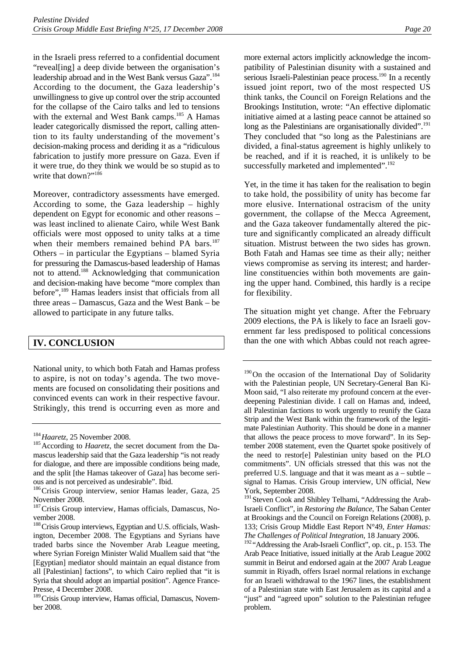in the Israeli press referred to a confidential document "reveal[ing] a deep divide between the organisation's leadership abroad and in the West Bank versus Gaza".<sup>184</sup> According to the document, the Gaza leadership's unwillingness to give up control over the strip accounted for the collapse of the Cairo talks and led to tensions with the external and West Bank camps.<sup>185</sup> A Hamas leader categorically dismissed the report, calling attention to its faulty understanding of the movement's decision-making process and deriding it as a "ridiculous fabrication to justify more pressure on Gaza. Even if it were true, do they think we would be so stupid as to write that down?"<sup>186</sup>

Moreover, contradictory assessments have emerged. According to some, the Gaza leadership – highly dependent on Egypt for economic and other reasons – was least inclined to alienate Cairo, while West Bank officials were most opposed to unity talks at a time when their members remained behind PA bars.<sup>187</sup> Others – in particular the Egyptians – blamed Syria for pressuring the Damascus-based leadership of Hamas not to attend.188 Acknowledging that communication and decision-making have become "more complex than before",<sup>189</sup> Hamas leaders insist that officials from all three areas – Damascus, Gaza and the West Bank – be allowed to participate in any future talks.

## **IV. CONCLUSION**

National unity, to which both Fatah and Hamas profess to aspire, is not on today's agenda. The two movements are focused on consolidating their positions and convinced events can work in their respective favour. Strikingly, this trend is occurring even as more and

more external actors implicitly acknowledge the incompatibility of Palestinian disunity with a sustained and serious Israeli-Palestinian peace process.<sup>190</sup> In a recently issued joint report, two of the most respected US think tanks, the Council on Foreign Relations and the Brookings Institution, wrote: "An effective diplomatic initiative aimed at a lasting peace cannot be attained so long as the Palestinians are organisationally divided".<sup>191</sup> They concluded that "so long as the Palestinians are divided, a final-status agreement is highly unlikely to be reached, and if it is reached, it is unlikely to be successfully marketed and implemented".<sup>192</sup>

Yet, in the time it has taken for the realisation to begin to take hold, the possibility of unity has become far more elusive. International ostracism of the unity government, the collapse of the Mecca Agreement, and the Gaza takeover fundamentally altered the picture and significantly complicated an already difficult situation. Mistrust between the two sides has grown. Both Fatah and Hamas see time as their ally; neither views compromise as serving its interest; and harderline constituencies within both movements are gaining the upper hand. Combined, this hardly is a recipe for flexibility.

The situation might yet change. After the February 2009 elections, the PA is likely to face an Israeli government far less predisposed to political concessions than the one with which Abbas could not reach agree-

<sup>&</sup>lt;sup>184</sup> Haaretz, 25 November 2008.<br><sup>185</sup> According to *Haaretz*, the secret document from the Damascus leadership said that the Gaza leadership "is not ready for dialogue, and there are impossible conditions being made, and the split [the Hamas takeover of Gaza] has become serious and is not perceived as undesirable". Ibid.

<sup>&</sup>lt;sup>186</sup>Crisis Group interview, senior Hamas leader, Gaza, 25 November 2008.

<sup>&</sup>lt;sup>187</sup> Crisis Group interview, Hamas officials, Damascus, November 2008.

<sup>&</sup>lt;sup>188</sup> Crisis Group interviews, Egyptian and U.S. officials, Washington, December 2008. The Egyptians and Syrians have traded barbs since the November Arab League meeting, where Syrian Foreign Minister Walid Muallem said that "the [Egyptian] mediator should maintain an equal distance from all [Palestinian] factions", to which Cairo replied that "it is Syria that should adopt an impartial position". Agence France-Presse, 4 December 2008.

<sup>&</sup>lt;sup>189</sup> Crisis Group interview, Hamas official, Damascus, November 2008.

<sup>&</sup>lt;sup>190</sup>On the occasion of the International Day of Solidarity with the Palestinian people, UN Secretary-General Ban Ki-Moon said, "I also reiterate my profound concern at the everdeepening Palestinian divide. I call on Hamas and, indeed, all Palestinian factions to work urgently to reunify the Gaza Strip and the West Bank within the framework of the legitimate Palestinian Authority. This should be done in a manner that allows the peace process to move forward". In its September 2008 statement, even the Quartet spoke positively of the need to restor[e] Palestinian unity based on the PLO commitments". UN officials stressed that this was not the preferred U.S. language and that it was meant as a – subtle – signal to Hamas. Crisis Group interview, UN official, New York, September 2008.

<sup>&</sup>lt;sup>191</sup> Steven Cook and Shibley Telhami, "Addressing the Arab-Israeli Conflict", in *Restoring the Balance,* The Saban Center at Brookings and the Council on Foreign Relations (2008), p. 133; Crisis Group Middle East Report N°49, *Enter Hamas: The Challenges of Political Integration*, 18 January 2006.

<sup>192</sup> "Addressing the Arab-Israeli Conflict", op. cit., p. 153. The Arab Peace Initiative, issued initially at the Arab League 2002 summit in Beirut and endorsed again at the 2007 Arab League summit in Riyadh, offers Israel normal relations in exchange for an Israeli withdrawal to the 1967 lines, the establishment of a Palestinian state with East Jerusalem as its capital and a "just" and "agreed upon" solution to the Palestinian refugee problem.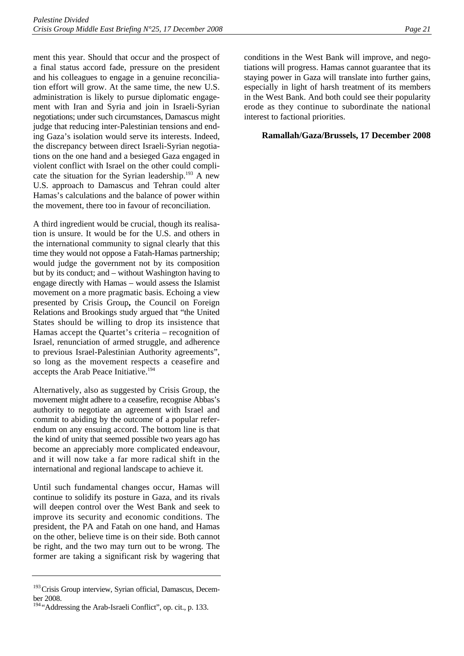ment this year. Should that occur and the prospect of a final status accord fade, pressure on the president and his colleagues to engage in a genuine reconciliation effort will grow. At the same time, the new U.S. administration is likely to pursue diplomatic engagement with Iran and Syria and join in Israeli-Syrian negotiations; under such circumstances, Damascus might judge that reducing inter-Palestinian tensions and ending Gaza's isolation would serve its interests. Indeed, the discrepancy between direct Israeli-Syrian negotiations on the one hand and a besieged Gaza engaged in violent conflict with Israel on the other could complicate the situation for the Syrian leadership.193 A new U.S. approach to Damascus and Tehran could alter Hamas's calculations and the balance of power within the movement, there too in favour of reconciliation.

A third ingredient would be crucial, though its realisation is unsure. It would be for the U.S. and others in the international community to signal clearly that this time they would not oppose a Fatah-Hamas partnership; would judge the government not by its composition but by its conduct; and – without Washington having to engage directly with Hamas – would assess the Islamist movement on a more pragmatic basis. Echoing a view presented by Crisis Group**,** the Council on Foreign Relations and Brookings study argued that "the United States should be willing to drop its insistence that Hamas accept the Quartet's criteria – recognition of Israel, renunciation of armed struggle, and adherence to previous Israel-Palestinian Authority agreements", so long as the movement respects a ceasefire and accepts the Arab Peace Initiative.<sup>194</sup>

Alternatively, also as suggested by Crisis Group, the movement might adhere to a ceasefire, recognise Abbas's authority to negotiate an agreement with Israel and commit to abiding by the outcome of a popular referendum on any ensuing accord. The bottom line is that the kind of unity that seemed possible two years ago has become an appreciably more complicated endeavour, and it will now take a far more radical shift in the international and regional landscape to achieve it.

Until such fundamental changes occur, Hamas will continue to solidify its posture in Gaza, and its rivals will deepen control over the West Bank and seek to improve its security and economic conditions. The president, the PA and Fatah on one hand, and Hamas on the other, believe time is on their side. Both cannot be right, and the two may turn out to be wrong. The former are taking a significant risk by wagering that conditions in the West Bank will improve, and negotiations will progress. Hamas cannot guarantee that its staying power in Gaza will translate into further gains, especially in light of harsh treatment of its members in the West Bank. And both could see their popularity erode as they continue to subordinate the national interest to factional priorities.

#### **Ramallah/Gaza/Brussels, 17 December 2008**

<sup>&</sup>lt;sup>193</sup> Crisis Group interview, Syrian official, Damascus, December 2008.

<sup>&</sup>lt;sup>194</sup> "Addressing the Arab-Israeli Conflict", op. cit., p. 133.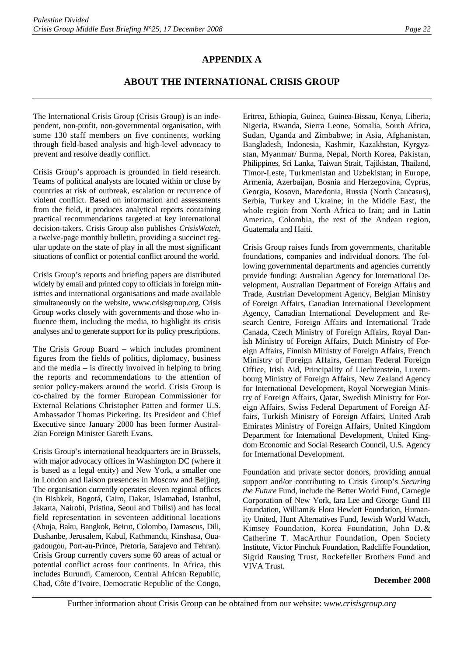## **APPENDIX A**

## **ABOUT THE INTERNATIONAL CRISIS GROUP**

The International Crisis Group (Crisis Group) is an independent, non-profit, non-governmental organisation, with some 130 staff members on five continents, working through field-based analysis and high-level advocacy to prevent and resolve deadly conflict.

Crisis Group's approach is grounded in field research. Teams of political analysts are located within or close by countries at risk of outbreak, escalation or recurrence of violent conflict. Based on information and assessments from the field, it produces analytical reports containing practical recommendations targeted at key international decision-takers. Crisis Group also publishes *CrisisWatch*, a twelve-page monthly bulletin, providing a succinct regular update on the state of play in all the most significant situations of conflict or potential conflict around the world.

Crisis Group's reports and briefing papers are distributed widely by email and printed copy to officials in foreign ministries and international organisations and made available simultaneously on the website, www.crisisgroup.org. Crisis Group works closely with governments and those who influence them, including the media, to highlight its crisis analyses and to generate support for its policy prescriptions.

The Crisis Group Board – which includes prominent figures from the fields of politics, diplomacy, business and the media – is directly involved in helping to bring the reports and recommendations to the attention of senior policy-makers around the world. Crisis Group is co-chaired by the former European Commissioner for External Relations Christopher Patten and former U.S. Ambassador Thomas Pickering. Its President and Chief Executive since January 2000 has been former Austral-2ian Foreign Minister Gareth Evans.

Crisis Group's international headquarters are in Brussels, with major advocacy offices in Washington DC (where it is based as a legal entity) and New York, a smaller one in London and liaison presences in Moscow and Beijing. The organisation currently operates eleven regional offices (in Bishkek, Bogotá, Cairo, Dakar, Islamabad, Istanbul, Jakarta, Nairobi, Pristina, Seoul and Tbilisi) and has local field representation in seventeen additional locations (Abuja, Baku, Bangkok, Beirut, Colombo, Damascus, Dili, Dushanbe, Jerusalem, Kabul, Kathmandu, Kinshasa, Ouagadougou, Port-au-Prince, Pretoria, Sarajevo and Tehran). Crisis Group currently covers some 60 areas of actual or potential conflict across four continents. In Africa, this includes Burundi, Cameroon, Central African Republic, Chad, Côte d'Ivoire, Democratic Republic of the Congo,

Eritrea, Ethiopia, Guinea, Guinea-Bissau, Kenya, Liberia, Nigeria, Rwanda, Sierra Leone, Somalia, South Africa, Sudan, Uganda and Zimbabwe; in Asia, Afghanistan, Bangladesh, Indonesia, Kashmir, Kazakhstan, Kyrgyzstan, Myanmar/ Burma, Nepal, North Korea, Pakistan, Philippines, Sri Lanka, Taiwan Strait, Tajikistan, Thailand, Timor-Leste, Turkmenistan and Uzbekistan; in Europe, Armenia, Azerbaijan, Bosnia and Herzegovina, Cyprus, Georgia, Kosovo, Macedonia, Russia (North Caucasus), Serbia, Turkey and Ukraine; in the Middle East, the whole region from North Africa to Iran; and in Latin America, Colombia, the rest of the Andean region, Guatemala and Haiti.

Crisis Group raises funds from governments, charitable foundations, companies and individual donors. The following governmental departments and agencies currently provide funding: Australian Agency for International Development, Australian Department of Foreign Affairs and Trade, Austrian Development Agency, Belgian Ministry of Foreign Affairs, Canadian International Development Agency, Canadian International Development and Research Centre, Foreign Affairs and International Trade Canada, Czech Ministry of Foreign Affairs, Royal Danish Ministry of Foreign Affairs, Dutch Ministry of Foreign Affairs, Finnish Ministry of Foreign Affairs, French Ministry of Foreign Affairs, German Federal Foreign Office, Irish Aid, Principality of Liechtenstein, Luxembourg Ministry of Foreign Affairs, New Zealand Agency for International Development, Royal Norwegian Ministry of Foreign Affairs, Qatar, Swedish Ministry for Foreign Affairs, Swiss Federal Department of Foreign Affairs, Turkish Ministry of Foreign Affairs, United Arab Emirates Ministry of Foreign Affairs, United Kingdom Department for International Development, United Kingdom Economic and Social Research Council, U.S. Agency for International Development.

Foundation and private sector donors, providing annual support and/or contributing to Crisis Group's *Securing the Future* Fund, include the Better World Fund, Carnegie Corporation of New York, Iara Lee and George Gund III Foundation, William& Flora Hewlett Foundation, Humanity United, Hunt Alternatives Fund, Jewish World Watch, Kimsey Foundation, Korea Foundation, John D. & Catherine T. MacArthur Foundation, Open Society Institute, Victor Pinchuk Foundation, Radcliffe Foundation, Sigrid Rausing Trust, Rockefeller Brothers Fund and VIVA Trust.

#### **December 2008**